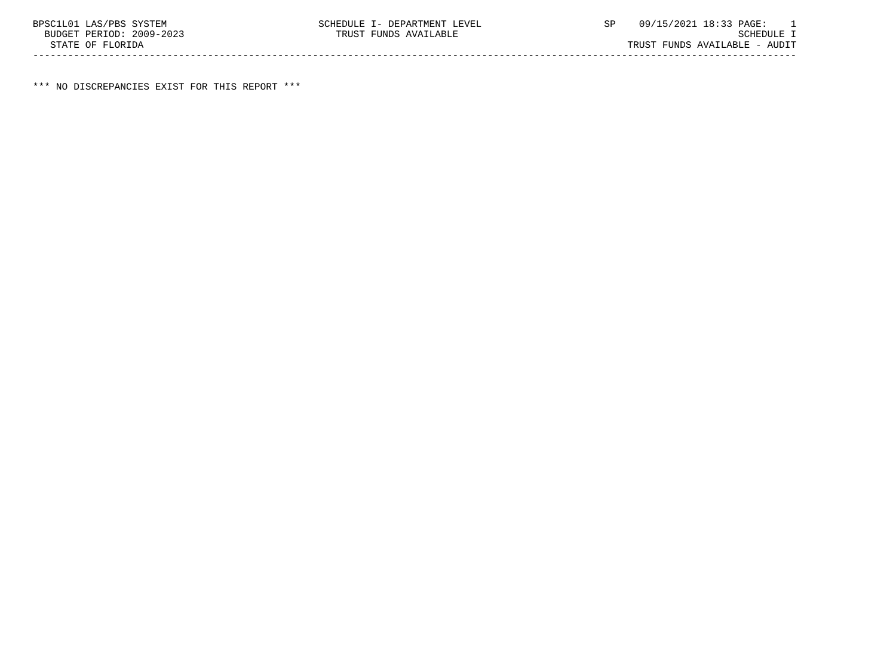\*\*\* NO DISCREPANCIES EXIST FOR THIS REPORT \*\*\*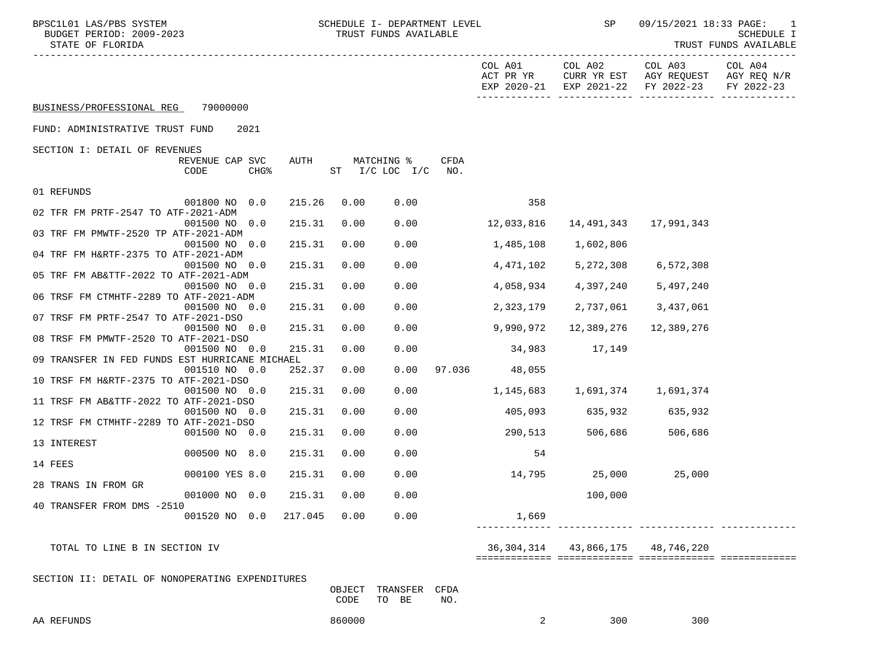| BPSC1L01 LAS/PBS SYSTEM<br>BUDGET PERIOD: 2009-2023<br>STATE OF FLORIDA<br>------------------------- |        |        | SCHEDULE I- DEPARTMENT LEVEL<br>TRUST FUNDS AVAILABLE |             |                      | SP              | 09/15/2021 18:33 PAGE:                                                               | $\overline{\phantom{0}}$<br>SCHEDULE I<br>TRUST FUNDS AVAILABLE |
|------------------------------------------------------------------------------------------------------|--------|--------|-------------------------------------------------------|-------------|----------------------|-----------------|--------------------------------------------------------------------------------------|-----------------------------------------------------------------|
|                                                                                                      |        |        |                                                       |             | COL A01<br>ACT PR YR | COL A02         | COL A03<br>CURR YR EST AGY REQUEST AGY REQ N/R<br>EXP 2020-21 EXP 2021-22 FY 2022-23 | COL A04<br>FY 2022-23                                           |
| BUSINESS/PROFESSIONAL REG 79000000                                                                   |        |        |                                                       |             |                      |                 |                                                                                      |                                                                 |
| FUND: ADMINISTRATIVE TRUST FUND<br>2021                                                              |        |        |                                                       |             |                      |                 |                                                                                      |                                                                 |
| SECTION I: DETAIL OF REVENUES                                                                        |        |        |                                                       |             |                      |                 |                                                                                      |                                                                 |
| REVENUE CAP SVC<br>CODE<br><b>CHG&amp;</b>                                                           | AUTH   |        | MATCHING %<br>ST I/C LOC I/C                          | CFDA<br>NO. |                      |                 |                                                                                      |                                                                 |
| 01 REFUNDS                                                                                           |        |        |                                                       |             |                      |                 |                                                                                      |                                                                 |
| 001800 NO 0.0                                                                                        | 215.26 | 0.00   | 0.00                                                  |             | 358                  |                 |                                                                                      |                                                                 |
| 02 TFR FM PRTF-2547 TO ATF-2021-ADM<br>001500 NO 0.0                                                 | 215.31 | 0.00   | 0.00                                                  |             | 12,033,816           | 14,491,343      | 17,991,343                                                                           |                                                                 |
| 03 TRF FM PMWTF-2520 TP ATF-2021-ADM<br>001500 NO 0.0                                                | 215.31 | 0.00   | 0.00                                                  |             | 1,485,108            | 1,602,806       |                                                                                      |                                                                 |
| 04 TRF FM H&RTF-2375 TO ATF-2021-ADM                                                                 |        |        |                                                       |             |                      |                 |                                                                                      |                                                                 |
| 001500 NO 0.0<br>05 TRF FM AB&TTF-2022 TO ATF-2021-ADM                                               | 215.31 | 0.00   | 0.00                                                  |             | 4,471,102            | 5,272,308       | 6,572,308                                                                            |                                                                 |
| 001500 NO 0.0                                                                                        | 215.31 | 0.00   | 0.00                                                  |             | 4,058,934            | 4,397,240       | 5,497,240                                                                            |                                                                 |
| 06 TRSF FM CTMHTF-2289 TO ATF-2021-ADM                                                               |        |        |                                                       |             |                      |                 |                                                                                      |                                                                 |
| 001500 NO 0.0<br>07 TRSF FM PRTF-2547 TO ATF-2021-DSO                                                | 215.31 | 0.00   | 0.00                                                  |             | 2,323,179            | 2,737,061       | 3,437,061                                                                            |                                                                 |
| 001500 NO 0.0                                                                                        | 215.31 | 0.00   | 0.00                                                  |             | 9,990,972            | 12,389,276      | 12,389,276                                                                           |                                                                 |
| 08 TRSF FM PMWTF-2520 TO ATF-2021-DSO<br>001500 NO 0.0                                               | 215.31 | 0.00   | 0.00                                                  |             | 34,983               | 17,149          |                                                                                      |                                                                 |
| 09 TRANSFER IN FED FUNDS EST HURRICANE MICHAEL                                                       |        |        |                                                       |             |                      |                 |                                                                                      |                                                                 |
| 001510 NO 0.0                                                                                        | 252.37 | 0.00   | 0.00                                                  |             | 97.036 48,055        |                 |                                                                                      |                                                                 |
| 10 TRSF FM H&RTF-2375 TO ATF-2021-DSO                                                                |        |        |                                                       |             |                      |                 |                                                                                      |                                                                 |
| 001500 NO 0.0<br>11 TRSF FM AB&TTF-2022 TO ATF-2021-DSO                                              | 215.31 | 0.00   | 0.00                                                  |             | 1,145,683            |                 |                                                                                      |                                                                 |
| 001500 NO 0.0                                                                                        | 215.31 | 0.00   | 0.00                                                  |             | 405,093              | 635,932 635,932 |                                                                                      |                                                                 |
| 12 TRSF FM CTMHTF-2289 TO ATF-2021-DSO                                                               |        |        |                                                       |             |                      |                 |                                                                                      |                                                                 |
| 001500 NO 0.0                                                                                        | 215.31 | 0.00   | 0.00                                                  |             | 290,513              | 506,686         | 506,686                                                                              |                                                                 |
| 13 INTEREST                                                                                          |        |        |                                                       |             |                      |                 |                                                                                      |                                                                 |
| 000500 NO 8.0<br>14 FEES                                                                             | 215.31 | 0.00   | 0.00                                                  |             | 54                   |                 |                                                                                      |                                                                 |
| 000100 YES 8.0                                                                                       | 215.31 | 0.00   | 0.00                                                  |             | 14,795 25,000        |                 | 25,000                                                                               |                                                                 |
| 28 TRANS IN FROM GR                                                                                  |        |        |                                                       |             |                      |                 |                                                                                      |                                                                 |
| 001000 NO 0.0                                                                                        | 215.31 | 0.00   | 0.00                                                  |             |                      | 100,000         |                                                                                      |                                                                 |
| 40 TRANSFER FROM DMS -2510<br>001520 NO 0.0 217.045 0.00                                             |        |        | 0.00                                                  |             | 1,669                |                 |                                                                                      |                                                                 |
|                                                                                                      |        |        |                                                       |             |                      |                 |                                                                                      |                                                                 |
| TOTAL TO LINE B IN SECTION IV                                                                        |        |        |                                                       |             | 36,304,314           | 43,866,175      | 48,746,220                                                                           |                                                                 |
|                                                                                                      |        |        |                                                       |             |                      |                 |                                                                                      |                                                                 |
| SECTION II: DETAIL OF NONOPERATING EXPENDITURES                                                      |        |        |                                                       |             |                      |                 |                                                                                      |                                                                 |
|                                                                                                      |        | OBJECT | TRANSFER                                              | CFDA        |                      |                 |                                                                                      |                                                                 |
|                                                                                                      |        | CODE   | TO BE                                                 | NO.         |                      |                 |                                                                                      |                                                                 |
|                                                                                                      |        | 860000 |                                                       |             |                      |                 |                                                                                      |                                                                 |
| AA REFUNDS                                                                                           |        |        |                                                       |             | 2                    | 300             | 300                                                                                  |                                                                 |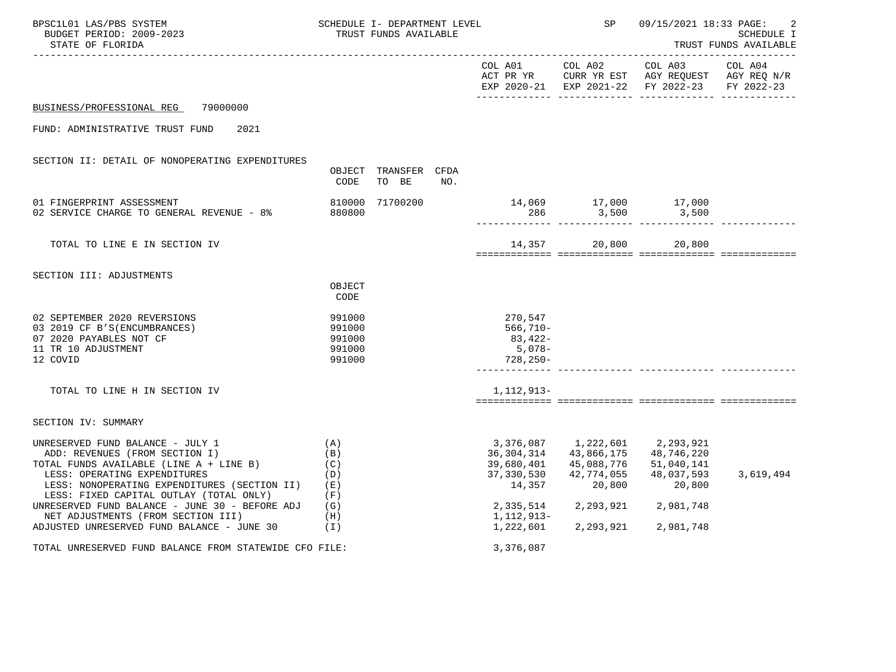| BPSC1L01 LAS/PBS SYSTEM<br>BUDGET PERIOD: 2009-2023<br>STATE OF FLORIDA                                                                                                                                                                                                                                                                                                        |                                                               | SCHEDULE I- DEPARTMENT LEVEL<br>TRUST FUNDS AVAILABLE |     |                                                                                                         | SP                                                                                       | 09/15/2021 18:33 PAGE:                                                                         | SCHEDULE I<br>TRUST FUNDS AVAILABLE |
|--------------------------------------------------------------------------------------------------------------------------------------------------------------------------------------------------------------------------------------------------------------------------------------------------------------------------------------------------------------------------------|---------------------------------------------------------------|-------------------------------------------------------|-----|---------------------------------------------------------------------------------------------------------|------------------------------------------------------------------------------------------|------------------------------------------------------------------------------------------------|-------------------------------------|
|                                                                                                                                                                                                                                                                                                                                                                                |                                                               |                                                       |     | COL A01                                                                                                 | COL A02                                                                                  | COL A03<br>ACT PR YR CURR YR EST AGY REQUEST AGY REQ N/R<br>EXP 2020-21 EXP 2021-22 FY 2022-23 | COL A04<br>FY 2022-23               |
| BUSINESS/PROFESSIONAL REG 79000000                                                                                                                                                                                                                                                                                                                                             |                                                               |                                                       |     |                                                                                                         |                                                                                          |                                                                                                |                                     |
| FUND: ADMINISTRATIVE TRUST FUND<br>2021                                                                                                                                                                                                                                                                                                                                        |                                                               |                                                       |     |                                                                                                         |                                                                                          |                                                                                                |                                     |
| SECTION II: DETAIL OF NONOPERATING EXPENDITURES                                                                                                                                                                                                                                                                                                                                | CODE                                                          | OBJECT TRANSFER CFDA<br>TO BE                         | NO. |                                                                                                         |                                                                                          |                                                                                                |                                     |
| 01 FINGERPRINT ASSESSMENT<br>02 SERVICE CHARGE TO GENERAL REVENUE - 8%                                                                                                                                                                                                                                                                                                         | 810000<br>880800                                              | 71700200                                              |     |                                                                                                         | 286 3,500                                                                                | 14,069 17,000 17,000<br>3,500                                                                  |                                     |
| TOTAL TO LINE E IN SECTION IV                                                                                                                                                                                                                                                                                                                                                  |                                                               |                                                       |     |                                                                                                         | 14,357 20,800                                                                            | 20,800                                                                                         |                                     |
| SECTION III: ADJUSTMENTS                                                                                                                                                                                                                                                                                                                                                       | OBJECT<br>CODE                                                |                                                       |     |                                                                                                         |                                                                                          |                                                                                                |                                     |
| 02 SEPTEMBER 2020 REVERSIONS<br>03 2019 CF B'S(ENCUMBRANCES)<br>07 2020 PAYABLES NOT CF<br>11 TR 10 ADJUSTMENT<br>12 COVID                                                                                                                                                                                                                                                     | 991000<br>991000<br>991000<br>991000<br>991000                |                                                       |     | 270,547<br>566,710-<br>83,422-<br>$5,078-$<br>$728,250-$<br>-------------                               |                                                                                          |                                                                                                |                                     |
| TOTAL TO LINE H IN SECTION IV                                                                                                                                                                                                                                                                                                                                                  |                                                               |                                                       |     | 1, 112, 913-                                                                                            |                                                                                          |                                                                                                |                                     |
| SECTION IV: SUMMARY                                                                                                                                                                                                                                                                                                                                                            |                                                               |                                                       |     |                                                                                                         |                                                                                          |                                                                                                |                                     |
| UNRESERVED FUND BALANCE - JULY 1<br>ADD: REVENUES (FROM SECTION I)<br>TOTAL FUNDS AVAILABLE (LINE A + LINE B)<br>LESS: OPERATING EXPENDITURES<br>LESS: NONOPERATING EXPENDITURES (SECTION II)<br>LESS: FIXED CAPITAL OUTLAY (TOTAL ONLY)<br>UNRESERVED FUND BALANCE - JUNE 30 - BEFORE ADJ<br>NET ADJUSTMENTS (FROM SECTION III)<br>ADJUSTED UNRESERVED FUND BALANCE - JUNE 30 | (A)<br>(B)<br>(C)<br>(D)<br>( E )<br>(F)<br>(G)<br>(H)<br>(I) |                                                       |     | 3,376,087<br>36, 304, 314<br>39,680,401<br>37,330,530<br>14,357<br>2,335,514<br>1,112,913-<br>1,222,601 | 43,866,175<br>45,088,776<br>42,774,055<br>20,800<br>2, 293, 921 2, 981, 748<br>2,293,921 | 1,222,601 2,293,921<br>48,746,220<br>51,040,141<br>48,037,593<br>20,800<br>2,981,748           | 3,619,494                           |
| TOTAL UNRESERVED FUND BALANCE FROM STATEWIDE CFO FILE:                                                                                                                                                                                                                                                                                                                         |                                                               |                                                       |     | 3,376,087                                                                                               |                                                                                          |                                                                                                |                                     |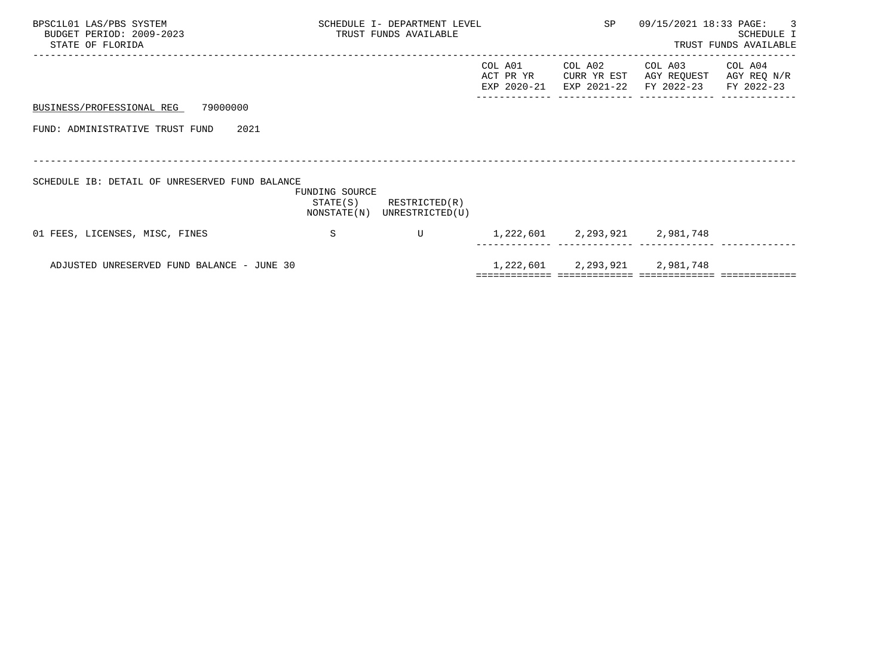| BPSC1L01 LAS/PBS SYSTEM<br>BUDGET PERIOD: 2009-2023<br>STATE OF FLORIDA |                | SCHEDULE I- DEPARTMENT LEVEL<br>TRUST FUNDS AVAILABLE      |                                     | SP                                    | 09/15/2021 18:33 PAGE: 3             | SCHEDULE I<br>TRUST FUNDS AVAILABLE  |
|-------------------------------------------------------------------------|----------------|------------------------------------------------------------|-------------------------------------|---------------------------------------|--------------------------------------|--------------------------------------|
|                                                                         |                |                                                            | COL A01<br>ACT PR YR<br>EXP 2020-21 | COL A02<br>CURR YR EST<br>EXP 2021-22 | COL A03<br>AGY REQUEST<br>FY 2022-23 | COL A04<br>AGY REQ N/R<br>FY 2022-23 |
| 79000000<br>BUSINESS/PROFESSIONAL REG                                   |                |                                                            |                                     |                                       |                                      |                                      |
| FUND: ADMINISTRATIVE TRUST FUND<br>2021                                 |                |                                                            |                                     |                                       |                                      |                                      |
|                                                                         |                |                                                            |                                     |                                       |                                      |                                      |
| SCHEDULE IB: DETAIL OF UNRESERVED FUND BALANCE                          | FUNDING SOURCE | $STATE(S)$ RESTRICTED $(R)$<br>NONSTATE(N) UNRESTRICTED(U) |                                     |                                       |                                      |                                      |
| 01 FEES, LICENSES, MISC, FINES                                          | -S             | U                                                          |                                     |                                       | 1, 222, 601 2, 293, 921 2, 981, 748  |                                      |
| ADJUSTED UNRESERVED FUND BALANCE - JUNE 30                              |                |                                                            |                                     |                                       | 1, 222, 601 2, 293, 921 2, 981, 748  |                                      |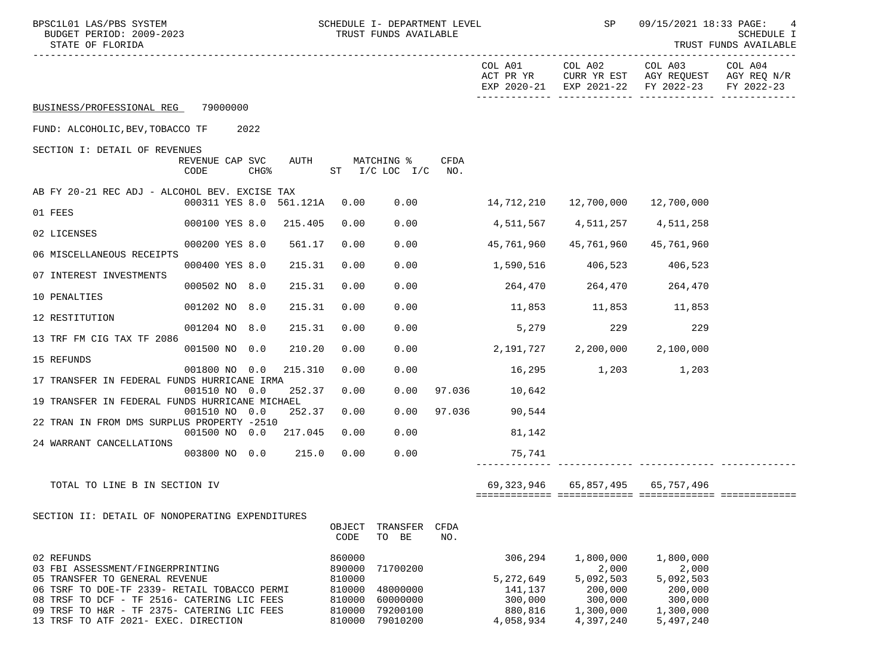| BPSC1L01 LAS/PBS SYSTEM<br>BUDGET PERIOD: 2009-2023<br>STATE OF FLORIDA                     |                              |      |         | SCHEDULE I- DEPARTMENT LEVEL<br>TRUST FUNDS AVAILABLE |                                             |             |                                     |                      | 09/15/2021 18:33 PAGE:                                                                                                    | SCHEDULE I<br>TRUST FUNDS AVAILABLE |
|---------------------------------------------------------------------------------------------|------------------------------|------|---------|-------------------------------------------------------|---------------------------------------------|-------------|-------------------------------------|----------------------|---------------------------------------------------------------------------------------------------------------------------|-------------------------------------|
|                                                                                             |                              |      |         |                                                       |                                             |             |                                     |                      | COL A01 COL A02 COL A03<br>ACT PR YR CURR YR EST AGY REQUEST AGY REQ N/R<br>EXP 2020-21 EXP 2021-22 FY 2022-23 FY 2022-23 | COL A04                             |
| BUSINESS/PROFESSIONAL REG 79000000                                                          |                              |      |         |                                                       |                                             |             |                                     |                      |                                                                                                                           |                                     |
| FUND: ALCOHOLIC, BEV, TOBACCO TF                                                            | 2022                         |      |         |                                                       |                                             |             |                                     |                      |                                                                                                                           |                                     |
| SECTION I: DETAIL OF REVENUES                                                               | REVENUE CAP SVC              |      | AUTH    |                                                       |                                             | CFDA        |                                     |                      |                                                                                                                           |                                     |
|                                                                                             | CODE                         | CHG% |         |                                                       | MATCHING %<br>$ST$ $I/C$ $LOC$ $I/C$ $NO$ . |             |                                     |                      |                                                                                                                           |                                     |
| AB FY 20-21 REC ADJ - ALCOHOL BEV. EXCISE TAX                                               |                              |      |         |                                                       |                                             |             |                                     |                      |                                                                                                                           |                                     |
| 01 FEES                                                                                     | 000311 YES 8.0 561.121A 0.00 |      |         |                                                       | 0.00                                        |             | 14,712,210                          | 12,700,000           | 12,700,000                                                                                                                |                                     |
| 02 LICENSES                                                                                 | 000100 YES 8.0 215.405       |      |         | 0.00                                                  | 0.00                                        |             | 4,511,567                           | 4,511,257            | 4,511,258                                                                                                                 |                                     |
|                                                                                             | 000200 YES 8.0               |      | 561.17  | 0.00                                                  | 0.00                                        |             | 45,761,960                          | 45,761,960           | 45,761,960                                                                                                                |                                     |
| 06 MISCELLANEOUS RECEIPTS                                                                   | 000400 YES 8.0               |      | 215.31  | 0.00                                                  | 0.00                                        |             | 1,590,516 406,523                   |                      | 406,523                                                                                                                   |                                     |
| 07 INTEREST INVESTMENTS                                                                     | 000502 NO 8.0                |      | 215.31  | 0.00                                                  | 0.00                                        |             | 264,470                             | 264,470              | 264,470                                                                                                                   |                                     |
| 10 PENALTIES                                                                                |                              |      | 215.31  |                                                       |                                             |             |                                     |                      |                                                                                                                           |                                     |
| 12 RESTITUTION                                                                              | 001202 NO 8.0                |      |         | 0.00                                                  | 0.00                                        |             |                                     | 11,853 11,853 11,853 |                                                                                                                           |                                     |
| 13 TRF FM CIG TAX TF 2086                                                                   | 001204 NO 8.0                |      | 215.31  | 0.00                                                  | 0.00                                        |             | 5,279                               | 229                  | 229                                                                                                                       |                                     |
|                                                                                             | 001500 NO 0.0                |      | 210.20  | 0.00                                                  | 0.00                                        |             | $2,191,727$ $2,200,000$ $2,100,000$ |                      |                                                                                                                           |                                     |
| 15 REFUNDS                                                                                  | 001800 NO 0.0                |      | 215.310 | 0.00                                                  | 0.00                                        |             | 16,295 1,203 1,203                  |                      |                                                                                                                           |                                     |
| 17 TRANSFER IN FEDERAL FUNDS HURRICANE IRMA                                                 | 001510 NO 0.0                |      | 252.37  | 0.00                                                  | 0.00                                        |             | 97.036 10,642                       |                      |                                                                                                                           |                                     |
| 19 TRANSFER IN FEDERAL FUNDS HURRICANE MICHAEL                                              |                              |      |         |                                                       |                                             |             |                                     |                      |                                                                                                                           |                                     |
| 22 TRAN IN FROM DMS SURPLUS PROPERTY -2510                                                  | 001510 NO 0.0                |      | 252.37  | 0.00                                                  | 0.00                                        | 97.036      | 90,544                              |                      |                                                                                                                           |                                     |
| 24 WARRANT CANCELLATIONS                                                                    | 001500 NO 0.0                |      | 217.045 | 0.00                                                  | 0.00                                        |             | 81,142                              |                      |                                                                                                                           |                                     |
|                                                                                             | 003800 NO 0.0 215.0          |      |         | 0.00                                                  | 0.00                                        |             | 75,741                              |                      |                                                                                                                           |                                     |
| TOTAL TO LINE B IN SECTION IV                                                               |                              |      |         |                                                       |                                             |             | 69,323,946                          |                      | 65,857,495 65,757,496                                                                                                     |                                     |
| SECTION II: DETAIL OF NONOPERATING EXPENDITURES                                             |                              |      |         |                                                       |                                             |             |                                     |                      |                                                                                                                           |                                     |
|                                                                                             |                              |      |         | OBJECT<br>CODE                                        | TRANSFER<br>TO BE                           | CFDA<br>NO. |                                     |                      |                                                                                                                           |                                     |
| 02 REFUNDS                                                                                  |                              |      |         | 860000                                                |                                             |             | 306,294                             | 1,800,000            | 1,800,000                                                                                                                 |                                     |
| 03 FBI ASSESSMENT/FINGERPRINTING<br>05 TRANSFER TO GENERAL REVENUE                          |                              |      |         | 890000<br>810000                                      | 71700200                                    |             | 5,272,649                           | 2,000<br>5,092,503   | 2,000<br>5,092,503                                                                                                        |                                     |
| 06 TSRF TO DOE-TF 2339- RETAIL TOBACCO PERMI<br>08 TRSF TO DCF - TF 2516- CATERING LIC FEES |                              |      |         | 810000<br>810000                                      | 48000000<br>60000000                        |             | 141,137<br>300,000                  | 200,000<br>300,000   | 200,000<br>300,000                                                                                                        |                                     |
| 09 TRSF TO H&R - TF 2375- CATERING LIC FEES                                                 |                              |      |         | 810000                                                | 79200100                                    |             | 880,816                             | 1,300,000            | 1,300,000                                                                                                                 |                                     |
| 13 TRSF TO ATF 2021- EXEC. DIRECTION                                                        |                              |      |         | 810000                                                | 79010200                                    |             | 4,058,934                           | 4,397,240            | 5,497,240                                                                                                                 |                                     |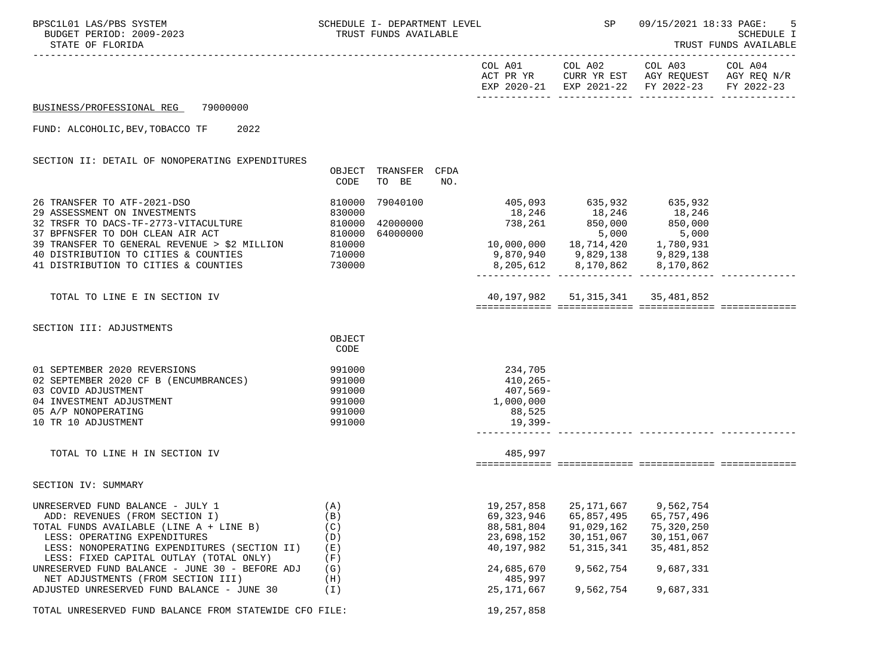| BPSC1L01 LAS/PBS SYSTEM<br>BUDGET PERIOD: 2009-2023<br>STATE OF FLORIDA                                                                                                                                                                                                                                                                                                                           | SCHEDULE I- DEPARTMENT LEVEL                             | TRUST FUNDS AVAILABLE            |     |                                                                                                    |                                                        | SP 09/15/2021 18:33 PAGE:                                                                                                                                      | 5<br><b>SCHEDULE I</b><br>TRUST FUNDS AVAILABLE |
|---------------------------------------------------------------------------------------------------------------------------------------------------------------------------------------------------------------------------------------------------------------------------------------------------------------------------------------------------------------------------------------------------|----------------------------------------------------------|----------------------------------|-----|----------------------------------------------------------------------------------------------------|--------------------------------------------------------|----------------------------------------------------------------------------------------------------------------------------------------------------------------|-------------------------------------------------|
|                                                                                                                                                                                                                                                                                                                                                                                                   |                                                          |                                  |     |                                                                                                    |                                                        | . _ _ _ _ _ _ _ _ _ _ _ _<br>COL A01 COL A02 COL A03 COL A04<br>ACT PR YR CURR YR EST AGY REQUEST AGY REQ N/R<br>EXP 2020-21 EXP 2021-22 FY 2022-23 FY 2022-23 |                                                 |
| BUSINESS/PROFESSIONAL REG 79000000                                                                                                                                                                                                                                                                                                                                                                |                                                          |                                  |     |                                                                                                    |                                                        |                                                                                                                                                                |                                                 |
| FUND: ALCOHOLIC, BEV, TOBACCO TF 2022                                                                                                                                                                                                                                                                                                                                                             |                                                          |                                  |     |                                                                                                    |                                                        |                                                                                                                                                                |                                                 |
| SECTION II: DETAIL OF NONOPERATING EXPENDITURES                                                                                                                                                                                                                                                                                                                                                   | OBJECT<br>CODE                                           | TRANSFER CFDA<br>TO BE           | NO. |                                                                                                    |                                                        |                                                                                                                                                                |                                                 |
| 26 TRANSFER TO ATF-2021-DSO<br>29 ASSESSMENT ON INVESTMENTS<br>39 ASSESSMENT ON INVESTIGATION<br>32 TRSFR TO DACS-TF-2773-VITACULTURE 610000<br>27 PREMERED TO DOU CLEAN ATR ACT 610000<br>37 BPFNSFER TO DOH CLEAN AIR ACT<br>39 TRANSFER TO GENERAL REVENUE > \$2 MILLION<br>VILLION 810000<br>710000<br>730000<br>40 DISTRIBUTION TO CITIES & COUNTIES<br>41 DISTRIBUTION TO CITIES & COUNTIES | 810000<br>830000<br>810000                               | 79040100<br>42000000<br>64000000 |     | $738,261$ $850,000$ $850,000$ $5,000$<br>5,000 5,000<br>18,714,420 1,780,931 10,000,000 18,714,420 | 405,093 635,932 635,932<br>18,246 18,246 18,246        | 5,000                                                                                                                                                          |                                                 |
| TOTAL TO LINE E IN SECTION IV                                                                                                                                                                                                                                                                                                                                                                     |                                                          |                                  |     |                                                                                                    | 40, 197, 982 51, 315, 341 35, 481, 852                 |                                                                                                                                                                |                                                 |
| SECTION III: ADJUSTMENTS                                                                                                                                                                                                                                                                                                                                                                          | OBJECT<br>CODE                                           |                                  |     |                                                                                                    |                                                        |                                                                                                                                                                |                                                 |
| 01 SEPTEMBER 2020 REVERSIONS<br>02 SEPTEMBER 2020 CF B (ENCUMBRANCES)<br>03 COVID ADJUSTMENT<br>04 INVESTMENT ADJUSTMENT<br>05 A/P NONOPERATING<br>10 TR 10 ADJUSTMENT                                                                                                                                                                                                                            | 991000<br>991000<br>991000<br>991000<br>991000<br>991000 |                                  |     | 234,705<br>$410, 265 -$<br>407,569-<br>1,000,000<br>88,525<br>19,399-                              |                                                        |                                                                                                                                                                |                                                 |
| TOTAL TO LINE H IN SECTION IV                                                                                                                                                                                                                                                                                                                                                                     |                                                          |                                  |     | 485,997                                                                                            |                                                        |                                                                                                                                                                |                                                 |
| SECTION IV: SUMMARY                                                                                                                                                                                                                                                                                                                                                                               |                                                          |                                  |     |                                                                                                    |                                                        |                                                                                                                                                                |                                                 |
| UNRESERVED FUND BALANCE - JULY 1<br>ADD: REVENUES (FROM SECTION I)<br>TOTAL FUNDS AVAILABLE (LINE A + LINE B)<br>LESS: OPERATING EXPENDITURES<br>LESS: NONOPERATING EXPENDITURES (SECTION II)<br>LESS: FIXED CAPITAL OUTLAY (TOTAL ONLY)                                                                                                                                                          | (A)<br>(B)<br>(C)<br>(D)<br>(E)<br>(F)                   |                                  |     | 69, 323, 946<br>88,581,804<br>23,698,152<br>40,197,982                                             | 65,857,495<br>91,029,162<br>30,151,067<br>51, 315, 341 | 19, 257, 858 25, 171, 667 9, 562, 754<br>65,757,496<br>75, 320, 250<br>30,151,067<br>35, 481, 852                                                              |                                                 |
| UNRESERVED FUND BALANCE - JUNE 30 - BEFORE ADJ<br>NET ADJUSTMENTS (FROM SECTION III)                                                                                                                                                                                                                                                                                                              | (G)<br>(H)                                               |                                  |     | 24,685,670<br>485,997                                                                              | 9,562,754                                              | 9,687,331                                                                                                                                                      |                                                 |
| ADJUSTED UNRESERVED FUND BALANCE - JUNE 30<br>TOTAL UNRESERVED FUND BALANCE FROM STATEWIDE CFO FILE:                                                                                                                                                                                                                                                                                              | (I)                                                      |                                  |     | 25,171,667<br>19,257,858                                                                           | 9,562,754                                              | 9,687,331                                                                                                                                                      |                                                 |
|                                                                                                                                                                                                                                                                                                                                                                                                   |                                                          |                                  |     |                                                                                                    |                                                        |                                                                                                                                                                |                                                 |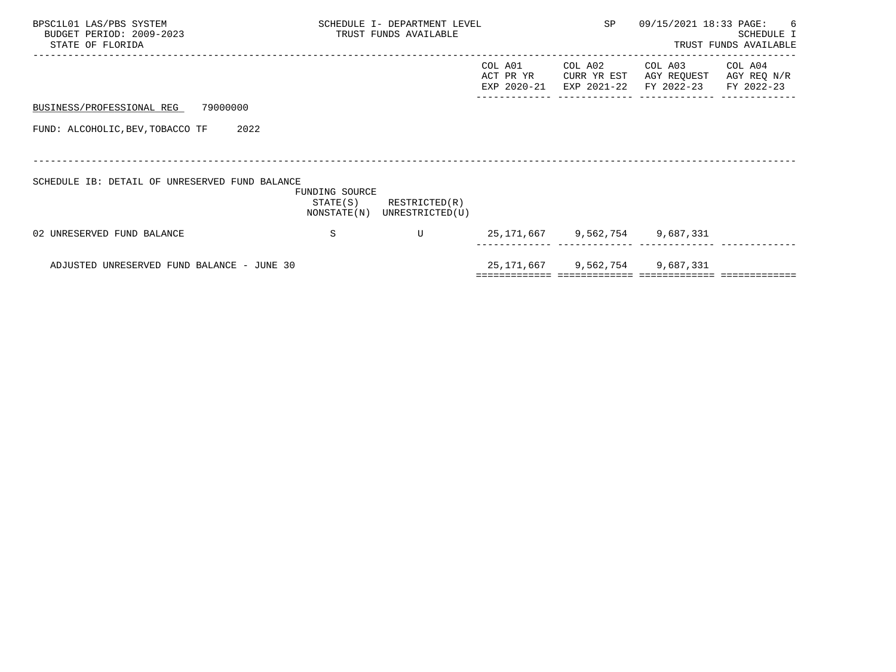| BPSC1L01 LAS/PBS SYSTEM<br>BUDGET PERIOD: 2009-2023<br>STATE OF FLORIDA |                            | SCHEDULE I- DEPARTMENT LEVEL<br>TRUST FUNDS AVAILABLE |                                     | SP                                    | 09/15/2021 18:33 PAGE:               | 6<br>SCHEDULE I<br>TRUST FUNDS AVAILABLE |
|-------------------------------------------------------------------------|----------------------------|-------------------------------------------------------|-------------------------------------|---------------------------------------|--------------------------------------|------------------------------------------|
|                                                                         |                            |                                                       | COL A01<br>ACT PR YR<br>EXP 2020-21 | COL A02<br>CURR YR EST<br>EXP 2021-22 | COL A03<br>AGY REQUEST<br>FY 2022-23 | COL A04<br>AGY REQ N/R<br>FY 2022-23     |
| 79000000<br>BUSINESS/PROFESSIONAL REG                                   |                            |                                                       |                                     |                                       |                                      |                                          |
| FUND: ALCOHOLIC, BEV, TOBACCO TF<br>2022                                |                            |                                                       |                                     |                                       |                                      |                                          |
|                                                                         |                            |                                                       |                                     |                                       |                                      |                                          |
| SCHEDULE IB: DETAIL OF UNRESERVED FUND BALANCE                          | FUNDING SOURCE<br>STATE(S) | RESTRICTED(R)<br>NONSTATE(N) UNRESTRICTED(U)          |                                     |                                       |                                      |                                          |
| 02 UNRESERVED FUND BALANCE                                              | -S                         | U                                                     |                                     |                                       | 25, 171, 667 9, 562, 754 9, 687, 331 |                                          |
| ADJUSTED UNRESERVED FUND BALANCE - JUNE 30                              |                            |                                                       |                                     |                                       | 25, 171, 667 9, 562, 754 9, 687, 331 |                                          |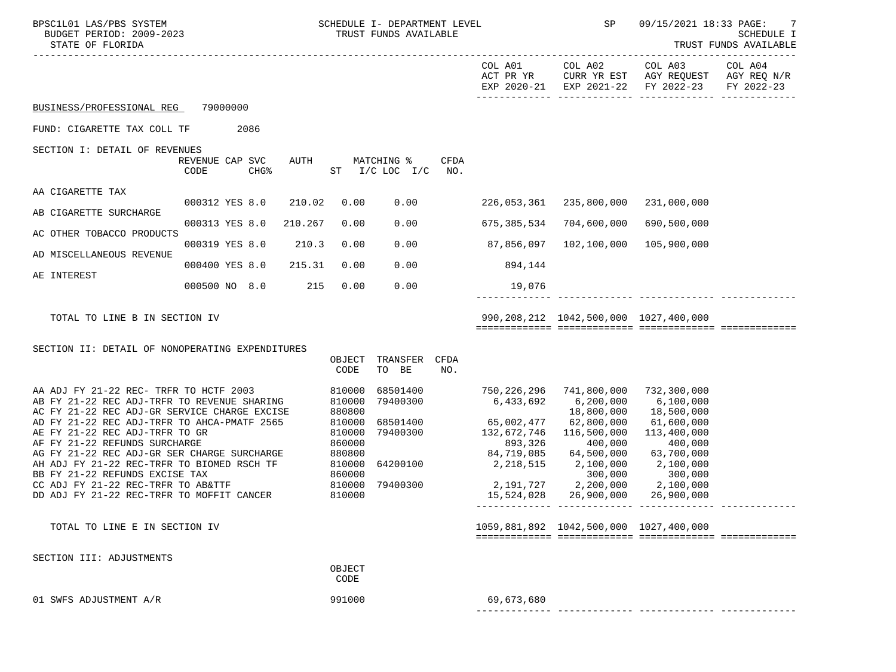| BPSC1L01 LAS/PBS SYSTEM<br>BUDGET PERIOD: 2009-2023<br>STATE OF FLORIDA                                                                                                                        |                         |                  | SCHEDULE I- DEPARTMENT LEVEL<br>TRUST FUNDS AVAILABLE |                                                |                                  | SP                 | 09/15/2021 18:33 PAGE:<br>7<br>SCHEDULE I<br>TRUST FUNDS AVAILABLE |                                                                  |                                                                                      |                       |
|------------------------------------------------------------------------------------------------------------------------------------------------------------------------------------------------|-------------------------|------------------|-------------------------------------------------------|------------------------------------------------|----------------------------------|--------------------|--------------------------------------------------------------------|------------------------------------------------------------------|--------------------------------------------------------------------------------------|-----------------------|
|                                                                                                                                                                                                |                         |                  |                                                       |                                                |                                  |                    | COL A01<br>ACT PR YR                                               | COL A02                                                          | COL A03<br>CURR YR EST AGY REQUEST AGY REQ N/R<br>EXP 2020-21 EXP 2021-22 FY 2022-23 | COL A04<br>FY 2022-23 |
| BUSINESS/PROFESSIONAL REG                                                                                                                                                                      | 79000000                |                  |                                                       |                                                |                                  |                    |                                                                    |                                                                  |                                                                                      |                       |
| FUND: CIGARETTE TAX COLL TF                                                                                                                                                                    |                         | 2086             |                                                       |                                                |                                  |                    |                                                                    |                                                                  |                                                                                      |                       |
| SECTION I: DETAIL OF REVENUES                                                                                                                                                                  | REVENUE CAP SVC<br>CODE | CHG <sup>8</sup> | AUTH                                                  |                                                | MATCHING %<br>ST I/C LOC I/C     | <b>CFDA</b><br>NO. |                                                                    |                                                                  |                                                                                      |                       |
| AA CIGARETTE TAX                                                                                                                                                                               | 000312 YES 8.0          |                  | 210.02                                                | 0.00                                           | 0.00                             |                    | 226,053,361                                                        | 235,800,000                                                      | 231,000,000                                                                          |                       |
| AB CIGARETTE SURCHARGE                                                                                                                                                                         |                         |                  |                                                       |                                                |                                  |                    |                                                                    |                                                                  |                                                                                      |                       |
| AC OTHER TOBACCO PRODUCTS                                                                                                                                                                      | 000313 YES 8.0          |                  | 210.267                                               | 0.00                                           | 0.00                             |                    | 675,385,534                                                        | 704,600,000                                                      | 690,500,000                                                                          |                       |
| AD MISCELLANEOUS REVENUE                                                                                                                                                                       | 000319 YES 8.0          |                  | 210.3                                                 | 0.00                                           | 0.00                             |                    | 87,856,097                                                         | 102,100,000                                                      | 105,900,000                                                                          |                       |
| AE INTEREST                                                                                                                                                                                    | 000400 YES 8.0          |                  | 215.31                                                | 0.00                                           | 0.00                             |                    | 894,144                                                            |                                                                  |                                                                                      |                       |
|                                                                                                                                                                                                | 000500 NO 8.0           |                  | 215                                                   | 0.00                                           | 0.00                             |                    | 19,076                                                             |                                                                  |                                                                                      |                       |
| TOTAL TO LINE B IN SECTION IV                                                                                                                                                                  |                         |                  |                                                       |                                                |                                  |                    |                                                                    | 990,208,212 1042,500,000 1027,400,000                            |                                                                                      |                       |
| SECTION II: DETAIL OF NONOPERATING EXPENDITURES                                                                                                                                                |                         |                  |                                                       | OBJECT<br>CODE                                 | TRANSFER<br>TO BE                | CFDA<br>NO.        |                                                                    |                                                                  |                                                                                      |                       |
| AA ADJ FY 21-22 REC- TRFR TO HCTF 2003<br>AB FY 21-22 REC ADJ-TRFR TO REVENUE SHARING<br>AC FY 21-22 REC ADJ-GR SERVICE CHARGE EXCISE<br>AD FY 21-22 REC ADJ-TRFR TO AHCA-PMATF 2565           |                         |                  |                                                       | 810000<br>810000<br>880800<br>810000           | 68501400<br>79400300<br>68501400 |                    | 6,433,692<br>65,002,477                                            | 750,226,296 741,800,000<br>6,200,000<br>18,800,000<br>62,800,000 | 732,300,000<br>6,100,000<br>18,500,000<br>61,600,000                                 |                       |
| AE FY 21-22 REC ADJ-TRFR TO GR<br>AF FY 21-22 REFUNDS SURCHARGE<br>AG FY 21-22 REC ADJ-GR SER CHARGE SURCHARGE<br>AH ADJ FY 21-22 REC-TRFR TO BIOMED RSCH TF<br>BB FY 21-22 REFUNDS EXCISE TAX |                         |                  |                                                       | 810000<br>860000<br>880800<br>810000<br>860000 | 79400300<br>64200100             |                    | 132,672,746<br>893,326<br>84,719,085<br>2, 218, 515                | 116,500,000<br>400,000<br>64,500,000<br>2,100,000<br>300,000     | 113,400,000<br>400,000<br>63,700,000<br>2,100,000<br>300,000                         |                       |
| CC ADJ FY 21-22 REC-TRFR TO AB&TTF<br>DD ADJ FY 21-22 REC-TRFR TO MOFFIT CANCER                                                                                                                |                         |                  |                                                       | 810000<br>810000                               | 79400300                         |                    | $2,191,727$ $2,200,000$<br>15,524,028                              | 26,900,000                                                       | 2,100,000<br>26,900,000                                                              |                       |
| TOTAL TO LINE E IN SECTION IV                                                                                                                                                                  |                         |                  |                                                       |                                                |                                  |                    |                                                                    | 1059,881,892 1042,500,000 1027,400,000                           |                                                                                      |                       |
| SECTION III: ADJUSTMENTS                                                                                                                                                                       |                         |                  |                                                       | OBJECT<br>CODE                                 |                                  |                    |                                                                    |                                                                  |                                                                                      |                       |
| 01 SWFS ADJUSTMENT A/R                                                                                                                                                                         |                         |                  |                                                       | 991000                                         |                                  |                    | 69,673,680                                                         |                                                                  |                                                                                      |                       |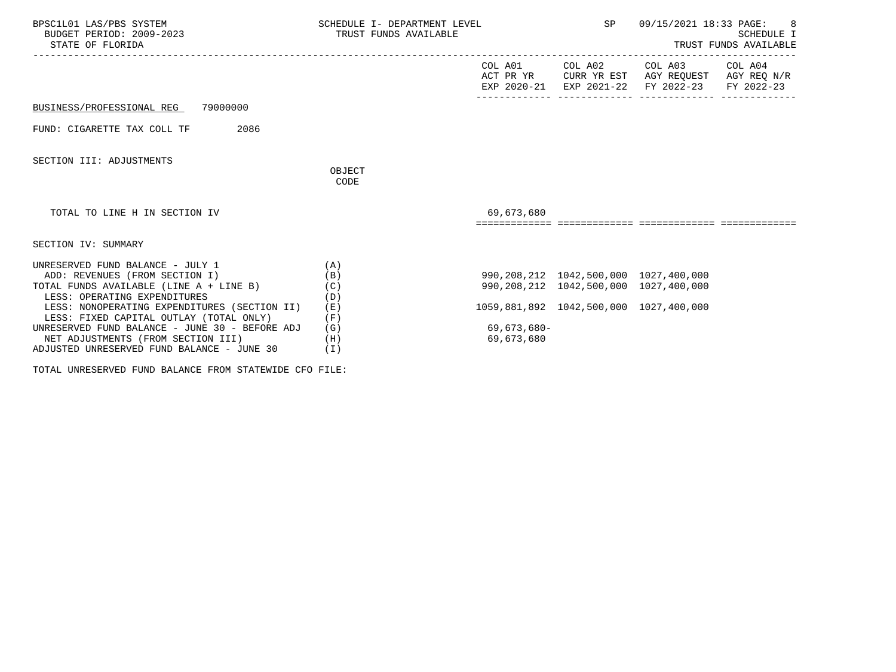| BPSC1L01 LAS/PBS SYSTEM<br>BUDGET PERIOD: 2009-2023<br>STATE OF FLORIDA                                                                                                                                                                                                                                                                                                        | SCHEDULE I- DEPARTMENT LEVEL<br>TRUST FUNDS AVAILABLE         |                           | SP                                                                                                                       | 09/15/2021 18:33 PAGE: 8<br>SCHEDULE I<br>TRUST FUNDS AVAILABLE                                                   |  |  |
|--------------------------------------------------------------------------------------------------------------------------------------------------------------------------------------------------------------------------------------------------------------------------------------------------------------------------------------------------------------------------------|---------------------------------------------------------------|---------------------------|--------------------------------------------------------------------------------------------------------------------------|-------------------------------------------------------------------------------------------------------------------|--|--|
|                                                                                                                                                                                                                                                                                                                                                                                |                                                               |                           | COL A01 COL A02                                                                                                          | COL A03 COL A04<br>ACT PR YR CURR YR EST AGY REQUEST AGY REQ N/R<br>EXP 2020-21 EXP 2021-22 FY 2022-23 FY 2022-23 |  |  |
| BUSINESS/PROFESSIONAL REG 79000000                                                                                                                                                                                                                                                                                                                                             |                                                               |                           |                                                                                                                          |                                                                                                                   |  |  |
| 2086<br>FUND: CIGARETTE TAX COLL TF                                                                                                                                                                                                                                                                                                                                            |                                                               |                           |                                                                                                                          |                                                                                                                   |  |  |
| SECTION III: ADJUSTMENTS                                                                                                                                                                                                                                                                                                                                                       | OBJECT<br>CODE                                                |                           |                                                                                                                          |                                                                                                                   |  |  |
| TOTAL TO LINE H IN SECTION IV                                                                                                                                                                                                                                                                                                                                                  |                                                               | 69,673,680                |                                                                                                                          |                                                                                                                   |  |  |
| SECTION IV: SUMMARY                                                                                                                                                                                                                                                                                                                                                            |                                                               |                           |                                                                                                                          |                                                                                                                   |  |  |
| UNRESERVED FUND BALANCE - JULY 1<br>ADD: REVENUES (FROM SECTION I)<br>TOTAL FUNDS AVAILABLE (LINE A + LINE B)<br>LESS: OPERATING EXPENDITURES<br>LESS: NONOPERATING EXPENDITURES (SECTION II)<br>LESS: FIXED CAPITAL OUTLAY (TOTAL ONLY)<br>UNRESERVED FUND BALANCE - JUNE 30 - BEFORE ADJ<br>NET ADJUSTMENTS (FROM SECTION III)<br>ADJUSTED UNRESERVED FUND BALANCE - JUNE 30 | (A)<br>(B)<br>(C)<br>(D)<br>(E)<br>(F)<br>(G)<br>(H)<br>( I ) | 69,673,680-<br>69,673,680 | 990,208,212 1042,500,000 1027,400,000<br>990,208,212 1042,500,000 1027,400,000<br>1059,881,892 1042,500,000 1027,400,000 |                                                                                                                   |  |  |

TOTAL UNRESERVED FUND BALANCE FROM STATEWIDE CFO FILE: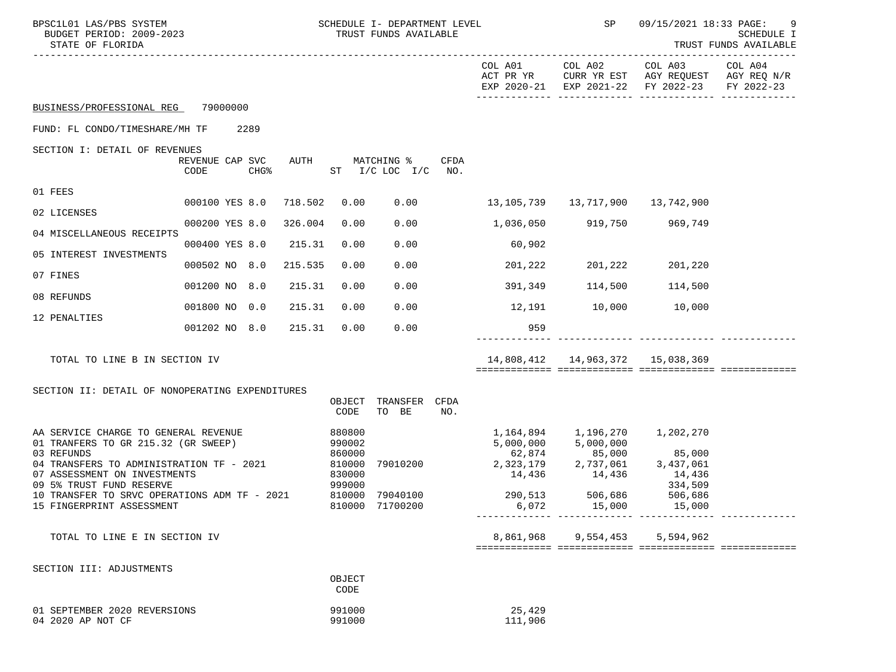| BPSC1L01 LAS/PBS SYSTEM<br>BUDGET PERIOD: 2009-2023<br>STATE OF FLORIDA                                                                                                                           |                                             |         |                                                          | SCHEDULE I- DEPARTMENT LEVEL<br>TRUST FUNDS AVAILABLE |             |                                            | SP                                                              | 09/15/2021 18:33 PAGE:<br>9<br>SCHEDULE I<br>TRUST FUNDS AVAILABLE                   |                       |
|---------------------------------------------------------------------------------------------------------------------------------------------------------------------------------------------------|---------------------------------------------|---------|----------------------------------------------------------|-------------------------------------------------------|-------------|--------------------------------------------|-----------------------------------------------------------------|--------------------------------------------------------------------------------------|-----------------------|
|                                                                                                                                                                                                   |                                             |         |                                                          |                                                       |             | COL A01<br>ACT PR YR                       | COL A02                                                         | COL A03<br>CURR YR EST AGY REQUEST AGY REQ N/R<br>EXP 2020-21 EXP 2021-22 FY 2022-23 | COL A04<br>FY 2022-23 |
| BUSINESS/PROFESSIONAL REG                                                                                                                                                                         | 79000000                                    |         |                                                          |                                                       |             |                                            |                                                                 |                                                                                      |                       |
| FUND: FL CONDO/TIMESHARE/MH TF                                                                                                                                                                    | 2289                                        |         |                                                          |                                                       |             |                                            |                                                                 |                                                                                      |                       |
| SECTION I: DETAIL OF REVENUES                                                                                                                                                                     | REVENUE CAP SVC<br>CHG <sup>8</sup><br>CODE | AUTH    |                                                          | MATCHING %<br>ST I/C LOC I/C NO.                      | CFDA        |                                            |                                                                 |                                                                                      |                       |
| 01 FEES                                                                                                                                                                                           |                                             |         |                                                          |                                                       |             |                                            |                                                                 |                                                                                      |                       |
| 02 LICENSES                                                                                                                                                                                       | 000100 YES 8.0                              | 718.502 | 0.00                                                     | 0.00                                                  |             |                                            |                                                                 |                                                                                      |                       |
| 04 MISCELLANEOUS RECEIPTS                                                                                                                                                                         | 000200 YES 8.0                              | 326.004 | 0.00                                                     | 0.00                                                  |             | 1,036,050                                  |                                                                 | 919,750 969,749                                                                      |                       |
| 05 INTEREST INVESTMENTS                                                                                                                                                                           | 000400 YES 8.0                              | 215.31  | 0.00                                                     | 0.00                                                  |             | 60,902                                     |                                                                 |                                                                                      |                       |
| 07 FINES                                                                                                                                                                                          | 000502 NO 8.0                               | 215.535 | 0.00                                                     | 0.00                                                  |             | 201,222                                    | 201,222                                                         | 201,220                                                                              |                       |
| 08 REFUNDS                                                                                                                                                                                        | 001200 NO 8.0                               | 215.31  | 0.00                                                     | 0.00                                                  |             | 391,349                                    | 114,500                                                         | 114,500                                                                              |                       |
| 12 PENALTIES                                                                                                                                                                                      | 001800 NO 0.0                               | 215.31  | 0.00                                                     | 0.00                                                  |             |                                            | 12,191 10,000 10,000                                            |                                                                                      |                       |
|                                                                                                                                                                                                   | 001202 NO 8.0                               | 215.31  | 0.00                                                     | 0.00                                                  |             | 959                                        |                                                                 |                                                                                      |                       |
| TOTAL TO LINE B IN SECTION IV                                                                                                                                                                     |                                             |         |                                                          |                                                       |             |                                            | 14,808,412  14,963,372  15,038,369                              |                                                                                      |                       |
| SECTION II: DETAIL OF NONOPERATING EXPENDITURES                                                                                                                                                   |                                             |         | OBJECT<br>CODE                                           | TRANSFER<br>TO BE                                     | CFDA<br>NO. |                                            |                                                                 |                                                                                      |                       |
| AA SERVICE CHARGE TO GENERAL REVENUE<br>01 TRANFERS TO GR 215.32 (GR SWEEP)<br>03 REFUNDS<br>04 TRANSFERS TO ADMINISTRATION TF - 2021<br>07 ASSESSMENT ON INVESTMENTS<br>09 5% TRUST FUND RESERVE |                                             |         | 880800<br>990002<br>860000<br>810000<br>830000<br>999000 | 79010200                                              |             | 1,164,894 1,196,270<br>5,000,000<br>62,874 | 5,000,000<br>85,000<br>2,323,179 2,737,061<br>$14,436$ $14,436$ | 1,202,270<br>85,000<br>3,437,061<br>14,436<br>334,509                                |                       |
| 10 TRANSFER TO SRVC OPERATIONS ADM TF - 2021<br>15 FINGERPRINT ASSESSMENT                                                                                                                         |                                             |         |                                                          | 810000 79040100<br>810000 71700200                    |             | 6,072                                      | 290,513 506,686<br>15,000                                       | 506,686<br>15,000                                                                    |                       |
| TOTAL TO LINE E IN SECTION IV                                                                                                                                                                     |                                             |         |                                                          |                                                       |             |                                            | 8,861,968 9,554,453                                             | 5,594,962                                                                            |                       |
| SECTION III: ADJUSTMENTS                                                                                                                                                                          |                                             |         | OBJECT<br>CODE                                           |                                                       |             |                                            |                                                                 |                                                                                      |                       |
| 01 SEPTEMBER 2020 REVERSIONS<br>04 2020 AP NOT CF                                                                                                                                                 |                                             |         | 991000<br>991000                                         |                                                       |             | 25,429<br>111,906                          |                                                                 |                                                                                      |                       |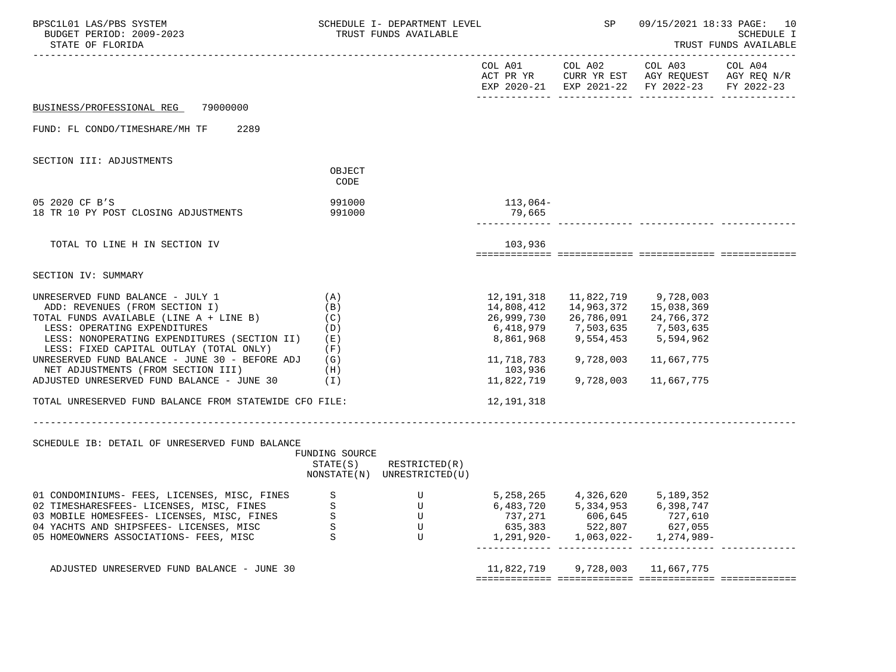| BPSC1L01 LAS/PBS SYSTEM<br>BUDGET PERIOD: 2009-2023<br>STATE OF FLORIDA                                                                                                                                                                                                                                                          |                                                        | SCHEDULE I- DEPARTMENT LEVEL<br>TRUST FUNDS AVAILABLE |                                                                                           | SP                                                              |                                                                                                | 09/15/2021 18:33 PAGE: 10<br>SCHEDULE I<br>TRUST FUNDS AVAILABLE |
|----------------------------------------------------------------------------------------------------------------------------------------------------------------------------------------------------------------------------------------------------------------------------------------------------------------------------------|--------------------------------------------------------|-------------------------------------------------------|-------------------------------------------------------------------------------------------|-----------------------------------------------------------------|------------------------------------------------------------------------------------------------|------------------------------------------------------------------|
|                                                                                                                                                                                                                                                                                                                                  |                                                        |                                                       | COL A01                                                                                   | COL A02                                                         | COL A03<br>ACT PR YR CURR YR EST AGY REQUEST AGY REQ N/R<br>EXP 2020-21 EXP 2021-22 FY 2022-23 | COL A04<br>FY 2022-23                                            |
| 79000000<br>BUSINESS/PROFESSIONAL REG                                                                                                                                                                                                                                                                                            |                                                        |                                                       |                                                                                           |                                                                 |                                                                                                |                                                                  |
| 2289<br>FUND: FL CONDO/TIMESHARE/MH TF                                                                                                                                                                                                                                                                                           |                                                        |                                                       |                                                                                           |                                                                 |                                                                                                |                                                                  |
| SECTION III: ADJUSTMENTS                                                                                                                                                                                                                                                                                                         |                                                        |                                                       |                                                                                           |                                                                 |                                                                                                |                                                                  |
|                                                                                                                                                                                                                                                                                                                                  | OBJECT<br>CODE                                         |                                                       |                                                                                           |                                                                 |                                                                                                |                                                                  |
| 05 2020 CF B'S<br>18 TR 10 PY POST CLOSING ADJUSTMENTS                                                                                                                                                                                                                                                                           | 991000<br>991000                                       |                                                       | 113,064-<br>79,665                                                                        |                                                                 |                                                                                                |                                                                  |
| TOTAL TO LINE H IN SECTION IV                                                                                                                                                                                                                                                                                                    |                                                        |                                                       | 103,936                                                                                   |                                                                 |                                                                                                |                                                                  |
| SECTION IV: SUMMARY                                                                                                                                                                                                                                                                                                              |                                                        |                                                       |                                                                                           |                                                                 |                                                                                                |                                                                  |
| UNRESERVED FUND BALANCE - JULY 1<br>ADD: REVENUES (FROM SECTION I)<br>TOTAL FUNDS AVAILABLE (LINE A + LINE B)<br>LESS: OPERATING EXPENDITURES<br>LESS: NONOPERATING EXPENDITURES (SECTION II)<br>LESS: FIXED CAPITAL OUTLAY (TOTAL ONLY)<br>UNRESERVED FUND BALANCE - JUNE 30 - BEFORE ADJ<br>NET ADJUSTMENTS (FROM SECTION III) | (A)<br>(B)<br>(C)<br>(D)<br>( E )<br>(F)<br>(G)<br>(H) |                                                       | 12,191,318<br>14,808,412<br>26,999,730<br>6,418,979<br>8,861,968<br>11,718,783<br>103,936 | 14,963,372<br>26,786,091<br>7,503,635<br>9,554,453<br>9,728,003 | 11,822,719 9,728,003<br>15,038,369<br>24,766,372<br>7,503,635<br>5,594,962<br>11,667,775       |                                                                  |
| ADJUSTED UNRESERVED FUND BALANCE - JUNE 30                                                                                                                                                                                                                                                                                       | ( I )                                                  |                                                       | 11,822,719                                                                                | 9,728,003                                                       | 11,667,775                                                                                     |                                                                  |
| TOTAL UNRESERVED FUND BALANCE FROM STATEWIDE CFO FILE:<br>SCHEDULE IB: DETAIL OF UNRESERVED FUND BALANCE                                                                                                                                                                                                                         | FUNDING SOURCE<br>STATE(S)                             | RESTRICTED(R)<br>NONSTATE(N) UNRESTRICTED(U)          | 12,191,318                                                                                |                                                                 |                                                                                                |                                                                  |
| 01 CONDOMINIUMS- FEES, LICENSES, MISC, FINES<br>02 TIMESHARESFEES- LICENSES, MISC, FINES<br>03 MOBILE HOMESFEES- LICENSES, MISC, FINES<br>04 YACHTS AND SHIPSFEES- LICENSES, MISC<br>05 HOMEOWNERS ASSOCIATIONS- FEES, MISC                                                                                                      | S<br>S<br>S<br>S<br>S                                  | U<br>U<br>U<br>U<br>U                                 | 5,258,265<br>6,483,720<br>737,271<br>635,383<br>1,291,920-                                | 4,326,620<br>5,334,953<br>606,645<br>522,807<br>1,063,022-      | 5,189,352<br>6,398,747<br>727,610<br>627,055<br>1,274,989-                                     |                                                                  |
| ADJUSTED UNRESERVED FUND BALANCE - JUNE 30                                                                                                                                                                                                                                                                                       |                                                        |                                                       | 11,822,719                                                                                | 9,728,003                                                       | 11,667,775                                                                                     |                                                                  |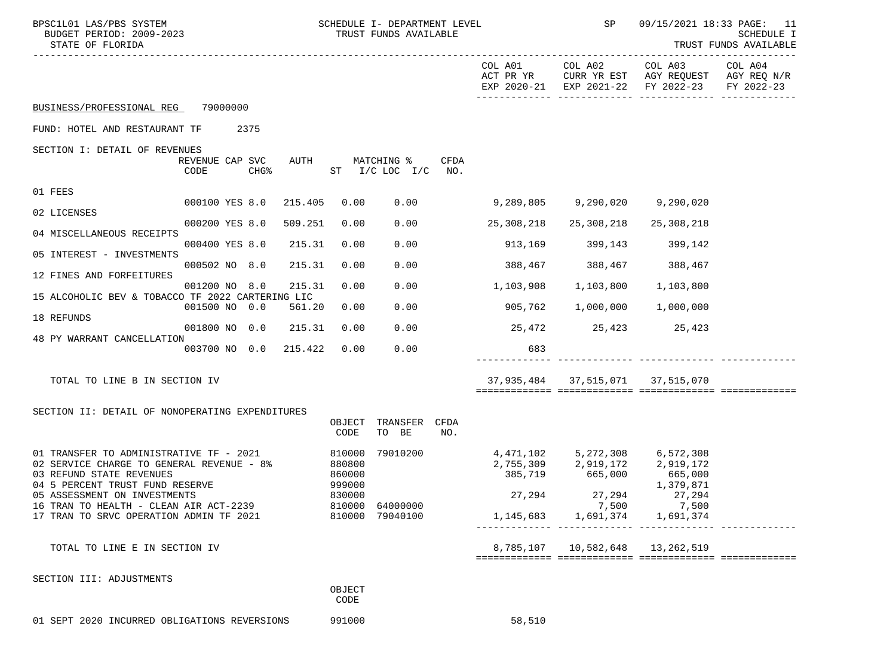| BPSC1L01 LAS/PBS SYSTEM<br>BUDGET PERIOD: 2009-2023<br>STATE OF FLORIDA                                                                             |                         |              |                                      | SCHEDULE I- DEPARTMENT LEVEL<br>TRUST FUNDS AVAILABLE |             |                               | SP                                     |                                                                                      | 09/15/2021 18:33 PAGE: 11<br>SCHEDULE I<br>TRUST FUNDS AVAILABLE |
|-----------------------------------------------------------------------------------------------------------------------------------------------------|-------------------------|--------------|--------------------------------------|-------------------------------------------------------|-------------|-------------------------------|----------------------------------------|--------------------------------------------------------------------------------------|------------------------------------------------------------------|
|                                                                                                                                                     |                         |              |                                      |                                                       |             | COL A01<br>ACT PR YR          | COL A02                                | COL A03<br>CURR YR EST AGY REQUEST AGY REQ N/R<br>EXP 2020-21 EXP 2021-22 FY 2022-23 | COL A04<br>FY 2022-23                                            |
| BUSINESS/PROFESSIONAL REG                                                                                                                           | 79000000                |              |                                      |                                                       |             |                               |                                        |                                                                                      |                                                                  |
| FUND: HOTEL AND RESTAURANT TF                                                                                                                       |                         | 2375         |                                      |                                                       |             |                               |                                        |                                                                                      |                                                                  |
| SECTION I: DETAIL OF REVENUES                                                                                                                       |                         |              |                                      |                                                       |             |                               |                                        |                                                                                      |                                                                  |
|                                                                                                                                                     | REVENUE CAP SVC<br>CODE | AUTH<br>CHG% |                                      | MATCHING %<br>$ST$ $I/C$ LOC $I/C$                    | CFDA<br>NO. |                               |                                        |                                                                                      |                                                                  |
| 01 FEES                                                                                                                                             |                         |              |                                      |                                                       |             |                               |                                        |                                                                                      |                                                                  |
| 02 LICENSES                                                                                                                                         | 000100 YES 8.0          | 215.405      | 0.00                                 | 0.00                                                  |             | 9,289,805                     | 9,290,020                              | 9,290,020                                                                            |                                                                  |
| 04 MISCELLANEOUS RECEIPTS                                                                                                                           | 000200 YES 8.0          | 509.251      | 0.00                                 | 0.00                                                  |             | 25,308,218                    | 25,308,218                             | 25,308,218                                                                           |                                                                  |
| 05 INTEREST - INVESTMENTS                                                                                                                           | 000400 YES 8.0          | 215.31       | 0.00                                 | 0.00                                                  |             | 913,169                       | 399,143 399,142                        |                                                                                      |                                                                  |
| 12 FINES AND FORFEITURES                                                                                                                            | 000502 NO 8.0           | 215.31       | 0.00                                 | 0.00                                                  |             | 388,467 388,467               |                                        | 388,467                                                                              |                                                                  |
| 15 ALCOHOLIC BEV & TOBACCO TF 2022 CARTERING LIC                                                                                                    | 001200 NO 8.0           | 215.31       | 0.00                                 | 0.00                                                  |             | 1,103,908                     | 1,103,800                              | 1,103,800                                                                            |                                                                  |
|                                                                                                                                                     | 001500 NO 0.0           | 561.20       | 0.00                                 | 0.00                                                  |             | 905,762                       | 1,000,000                              | 1,000,000                                                                            |                                                                  |
| 18 REFUNDS                                                                                                                                          | 001800 NO 0.0           | 215.31       | 0.00                                 | 0.00                                                  |             |                               | 25,472 25,423 25,423                   |                                                                                      |                                                                  |
| 48 PY WARRANT CANCELLATION                                                                                                                          | 003700 NO 0.0           | 215.422      | 0.00                                 | 0.00                                                  |             | 683                           |                                        |                                                                                      |                                                                  |
|                                                                                                                                                     |                         |              |                                      |                                                       |             |                               |                                        |                                                                                      |                                                                  |
| TOTAL TO LINE B IN SECTION IV                                                                                                                       |                         |              |                                      |                                                       |             |                               | 37,935,484 37,515,071 37,515,070       |                                                                                      |                                                                  |
| SECTION II: DETAIL OF NONOPERATING EXPENDITURES                                                                                                     |                         |              |                                      |                                                       |             |                               |                                        |                                                                                      |                                                                  |
|                                                                                                                                                     |                         |              | OBJECT<br>CODE                       | TRANSFER<br>TO BE                                     | CFDA<br>NO. |                               |                                        |                                                                                      |                                                                  |
| 01 TRANSFER TO ADMINISTRATIVE TF - 2021<br>02 SERVICE CHARGE TO GENERAL REVENUE - 8%<br>03 REFUND STATE REVENUES<br>04 5 PERCENT TRUST FUND RESERVE |                         |              | 810000<br>880800<br>860000<br>999000 | 79010200                                              |             | 4,471,102 5,272,308 6,572,308 | 2,755,309 2,919,172<br>385,719 665,000 | 2,919,172<br>665,000<br>1,379,871                                                    |                                                                  |
| 05 ASSESSMENT ON INVESTMENTS<br>16 TRAN TO HEALTH - CLEAN AIR ACT-2239                                                                              |                         |              | 830000                               | 810000 64000000                                       |             | 27,294                        | 27,294<br>7,500                        | 27,294<br>7,500                                                                      |                                                                  |
| 17 TRAN TO SRVC OPERATION ADMIN TF 2021                                                                                                             |                         |              |                                      | 810000 79040100                                       |             |                               | 1, 145, 683 1, 691, 374                | 1,691,374                                                                            |                                                                  |
| TOTAL TO LINE E IN SECTION IV                                                                                                                       |                         |              |                                      |                                                       |             |                               | 8,785,107   10,582,648   13,262,519    |                                                                                      |                                                                  |
| SECTION III: ADJUSTMENTS                                                                                                                            |                         |              |                                      |                                                       |             |                               |                                        |                                                                                      |                                                                  |
|                                                                                                                                                     |                         |              | OBJECT<br>CODE                       |                                                       |             |                               |                                        |                                                                                      |                                                                  |
| 01 SEPT 2020 INCURRED OBLIGATIONS REVERSIONS                                                                                                        |                         |              | 991000                               |                                                       |             | 58,510                        |                                        |                                                                                      |                                                                  |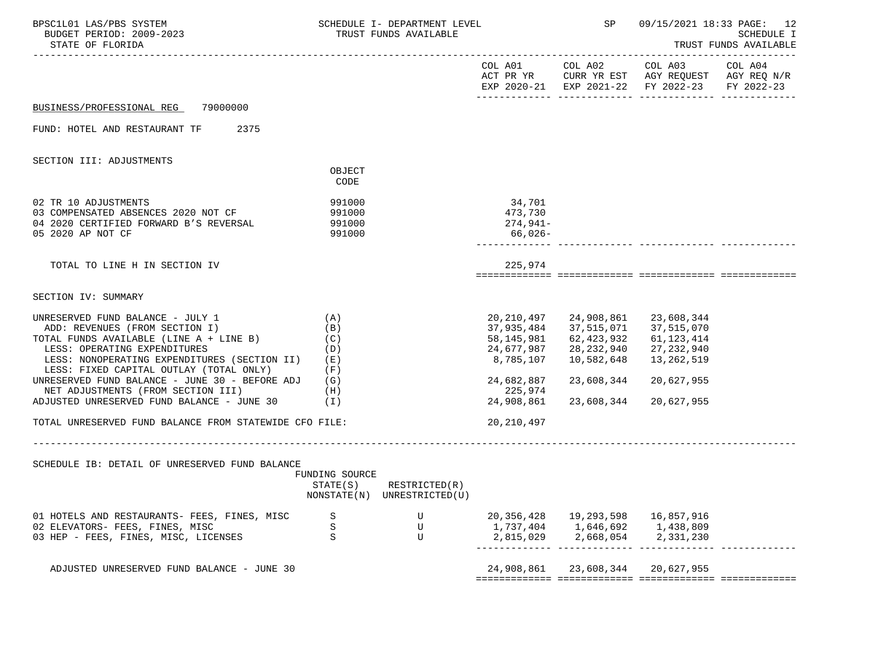| BPSC1L01 LAS/PBS SYSTEM<br>BUDGET PERIOD: 2009-2023<br>STATE OF FLORIDA                                                                                                                                                                                                                              |                                                          | SCHEDULE I- DEPARTMENT LEVEL<br>TRUST FUNDS AVAILABLE |                                                                                 | SP                                                                               |                                                                                                                   | 09/15/2021 18:33 PAGE: 12<br>SCHEDULE I<br>TRUST FUNDS AVAILABLE |
|------------------------------------------------------------------------------------------------------------------------------------------------------------------------------------------------------------------------------------------------------------------------------------------------------|----------------------------------------------------------|-------------------------------------------------------|---------------------------------------------------------------------------------|----------------------------------------------------------------------------------|-------------------------------------------------------------------------------------------------------------------|------------------------------------------------------------------|
|                                                                                                                                                                                                                                                                                                      |                                                          |                                                       |                                                                                 | COL A01 COL A02                                                                  | COL A03 COL A04<br>ACT PR YR CURR YR EST AGY REQUEST AGY REQ N/R<br>EXP 2020-21 EXP 2021-22 FY 2022-23 FY 2022-23 |                                                                  |
| 79000000<br>BUSINESS/PROFESSIONAL REG                                                                                                                                                                                                                                                                |                                                          |                                                       |                                                                                 |                                                                                  |                                                                                                                   |                                                                  |
| FUND: HOTEL AND RESTAURANT TF 2375                                                                                                                                                                                                                                                                   |                                                          |                                                       |                                                                                 |                                                                                  |                                                                                                                   |                                                                  |
| SECTION III: ADJUSTMENTS                                                                                                                                                                                                                                                                             |                                                          |                                                       |                                                                                 |                                                                                  |                                                                                                                   |                                                                  |
|                                                                                                                                                                                                                                                                                                      | OBJECT<br>CODE                                           |                                                       |                                                                                 |                                                                                  |                                                                                                                   |                                                                  |
| 02 TR 10 ADJUSTMENTS<br>03 COMPENSATED ABSENCES 2020 NOT CF<br>04 2020 CERTIFIED FORWARD B'S REVERSAL<br>05 2020 AP NOT CF                                                                                                                                                                           | 991000<br>991000<br>991000<br>991000                     |                                                       | 34,701<br>473,730<br>274,941-<br>66,026-                                        |                                                                                  |                                                                                                                   |                                                                  |
| TOTAL TO LINE H IN SECTION IV                                                                                                                                                                                                                                                                        |                                                          |                                                       | 225,974                                                                         |                                                                                  |                                                                                                                   |                                                                  |
| SECTION IV: SUMMARY                                                                                                                                                                                                                                                                                  |                                                          |                                                       |                                                                                 |                                                                                  |                                                                                                                   |                                                                  |
| UNRESERVED FUND BALANCE - JULY 1<br>ADD: REVENUES (FROM SECTION I)<br>TOTAL FUNDS AVAILABLE (LINE A + LINE B)<br>LESS: OPERATING EXPENDITURES<br>LESS: NONOPERATING EXPENDITURES (SECTION II) (E)<br>LESS: FIXED CAPITAL OUTLAY (TOTAL ONLY)<br>UNRESERVED FUND BALANCE - JUNE 30 - BEFORE ADJ $(G)$ | (A)<br>(B)<br>(C)<br>(D)<br>(F)                          |                                                       | 20,210,497<br>37,935,484<br>58,145,981<br>24,677,987<br>8,785,107<br>24,682,887 | 24,908,861<br>37,515,071<br>62,423,932<br>28,232,940<br>10,582,648<br>23,608,344 | 23,608,344<br>37,515,070<br>61,123,414<br>27,232,940<br>13,262,519<br>20,627,955                                  |                                                                  |
| NET ADJUSTMENTS (FROM SECTION III)<br>ADJUSTED UNRESERVED FUND BALANCE - JUNE 30                                                                                                                                                                                                                     | (H)<br>(1)                                               |                                                       | 225,974<br>24,908,861                                                           | 23,608,344                                                                       | 20,627,955                                                                                                        |                                                                  |
| TOTAL UNRESERVED FUND BALANCE FROM STATEWIDE CFO FILE:                                                                                                                                                                                                                                               |                                                          |                                                       | 20,210,497                                                                      |                                                                                  |                                                                                                                   |                                                                  |
| SCHEDULE IB: DETAIL OF UNRESERVED FUND BALANCE                                                                                                                                                                                                                                                       | __________________________<br>FUNDING SOURCE<br>STATE(S) | RESTRICTED(R)<br>NONSTATE(N) UNRESTRICTED(U)          |                                                                                 |                                                                                  |                                                                                                                   |                                                                  |
| 01 HOTELS AND RESTAURANTS- FEES, FINES, MISC<br>02 ELEVATORS- FEES, FINES, MISC<br>03 HEP - FEES, FINES, MISC, LICENSES                                                                                                                                                                              | S<br>$\rm S$<br>S                                        | U<br>U<br>U                                           | 20,356,428<br>1,737,404<br>2,815,029                                            | 19,293,598<br>1,646,692<br>2,668,054                                             | 16,857,916<br>1,438,809<br>2,331,230                                                                              |                                                                  |
| ADJUSTED UNRESERVED FUND BALANCE - JUNE 30                                                                                                                                                                                                                                                           |                                                          |                                                       | 24,908,861                                                                      | 23,608,344 20,627,955                                                            |                                                                                                                   |                                                                  |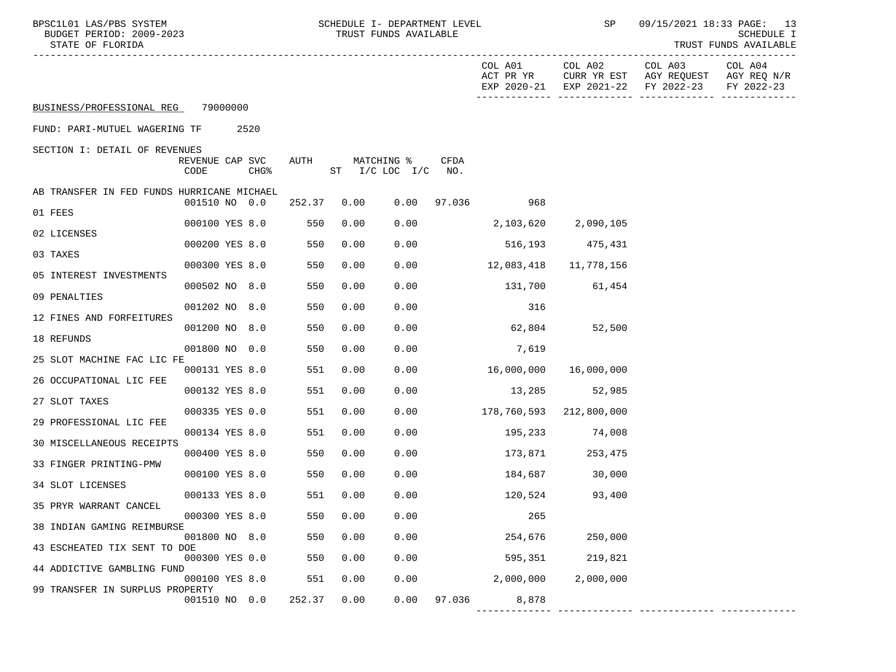| BPSC1L01 LAS/PBS SYSTEM<br>BUDGET PERIOD: 2009-2023<br>STATE OF FLORIDA | SCHEDULE I- DEPARTMENT LEVEL<br>TRUST FUNDS AVAILABLE |         |         | 09/15/2021 18:33 PAGE: 13<br>SCHEDULE I<br>TRUST FUNDS AVAILABLE |
|-------------------------------------------------------------------------|-------------------------------------------------------|---------|---------|------------------------------------------------------------------|
|                                                                         | COL A01                                               | COL A02 | COL A03 | COL A04                                                          |

| COL A01     | COL A02                | COL A03     | COL A04     |
|-------------|------------------------|-------------|-------------|
| ACT PR YR   | CURR YR EST            | AGY REOUEST | AGY REO N/R |
| EXP 2020-21 | EXP 2021-22 FY 2022-23 |             | FY 2022-23  |
|             |                        |             |             |

------------- ------------- ------------- -------------

FUND: PARI-MUTUEL WAGERING TF 2520

SECTION I: DETAIL OF REVENUES

|      | REVENUE CAP SVC |      | <b>AUTH</b> |    | MATCHING %      | CFDA |
|------|-----------------|------|-------------|----|-----------------|------|
| CODE |                 | CHG% |             | ST | $I/C$ LOC $I/C$ | NO.  |

| AB TRANSFER IN FED FUNDS HURRICANE MICHAEL |                |     |        |      |      |        |             |             |
|--------------------------------------------|----------------|-----|--------|------|------|--------|-------------|-------------|
| 01 FEES                                    | 001510 NO      | 0.0 | 252.37 | 0.00 | 0.00 | 97.036 | 968         |             |
|                                            | 000100 YES 8.0 |     | 550    | 0.00 | 0.00 |        | 2,103,620   | 2,090,105   |
| 02 LICENSES                                | 000200 YES 8.0 |     | 550    | 0.00 | 0.00 |        | 516,193     | 475,431     |
| 03 TAXES                                   |                |     |        |      |      |        |             |             |
| 05 INTEREST INVESTMENTS                    | 000300 YES 8.0 |     | 550    | 0.00 | 0.00 |        | 12,083,418  | 11,778,156  |
|                                            | 000502 NO      | 8.0 | 550    | 0.00 | 0.00 |        | 131,700     | 61,454      |
| 09 PENALTIES                               | 001202 NO      | 8.0 | 550    | 0.00 | 0.00 |        | 316         |             |
| 12 FINES AND FORFEITURES                   | 001200 NO      | 8.0 | 550    | 0.00 | 0.00 |        | 62,804      | 52,500      |
| 18 REFUNDS                                 |                |     |        |      |      |        |             |             |
| 25 SLOT MACHINE FAC LIC FE                 | 001800 NO      | 0.0 | 550    | 0.00 | 0.00 |        | 7,619       |             |
|                                            | 000131 YES 8.0 |     | 551    | 0.00 | 0.00 |        | 16,000,000  | 16,000,000  |
| 26 OCCUPATIONAL LIC FEE                    | 000132 YES 8.0 |     | 551    | 0.00 | 0.00 |        | 13,285      | 52,985      |
| 27 SLOT TAXES                              |                |     |        |      |      |        |             |             |
| 29 PROFESSIONAL LIC FEE                    | 000335 YES 0.0 |     | 551    | 0.00 | 0.00 |        | 178,760,593 | 212,800,000 |
|                                            | 000134 YES 8.0 |     | 551    | 0.00 | 0.00 |        | 195,233     | 74,008      |
| 30 MISCELLANEOUS RECEIPTS                  | 000400 YES 8.0 |     | 550    | 0.00 | 0.00 |        | 173,871     | 253,475     |
| 33 FINGER PRINTING-PMW                     | 000100 YES 8.0 |     | 550    | 0.00 | 0.00 |        | 184,687     | 30,000      |
| 34 SLOT LICENSES                           |                |     |        |      |      |        |             |             |
| 35 PRYR WARRANT CANCEL                     | 000133 YES 8.0 |     | 551    | 0.00 | 0.00 |        | 120,524     | 93,400      |
|                                            | 000300 YES 8.0 |     | 550    | 0.00 | 0.00 |        | 265         |             |
| 38 INDIAN GAMING REIMBURSE                 | 001800 NO      | 8.0 | 550    | 0.00 | 0.00 |        | 254,676     | 250,000     |
| 43 ESCHEATED TIX SENT TO DOE               |                |     |        |      |      |        |             |             |
| 44 ADDICTIVE GAMBLING FUND                 | 000300 YES 0.0 |     | 550    | 0.00 | 0.00 |        | 595,351     | 219,821     |
|                                            | 000100 YES 8.0 |     | 551    | 0.00 | 0.00 |        | 2,000,000   | 2,000,000   |
| 99 TRANSFER IN SURPLUS PROPERTY            | 001510 NO      | 0.0 | 252.37 | 0.00 | 0.00 | 97.036 | 8,878       |             |
|                                            |                |     |        |      |      |        |             |             |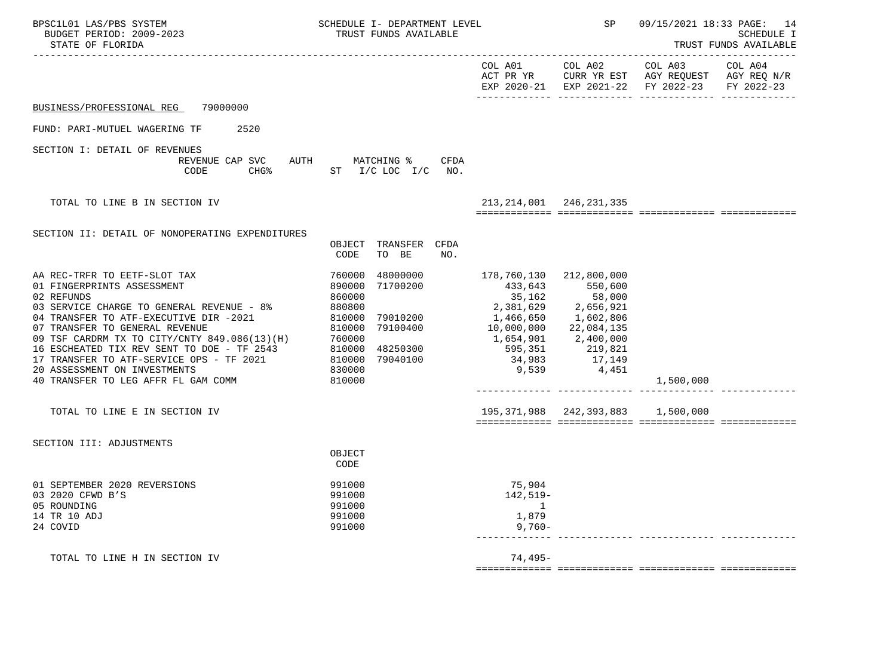| BPSC1L01 LAS/PBS SYSTEM<br>BUDGET PERIOD: 2009-2023<br>STATE OF FLORIDA                                                                                                                                                                                                                                                                                                                                                                   | SCHEDULE I- DEPARTMENT LEVEL<br>TRUST FUNDS AVAILABLE                                                                                           |                                                                                                                                                                             | SP                                | 09/15/2021 18:33 PAGE: 14<br><b>SCHEDULE I</b><br>TRUST FUNDS AVAILABLE<br>------------                                                            |  |  |
|-------------------------------------------------------------------------------------------------------------------------------------------------------------------------------------------------------------------------------------------------------------------------------------------------------------------------------------------------------------------------------------------------------------------------------------------|-------------------------------------------------------------------------------------------------------------------------------------------------|-----------------------------------------------------------------------------------------------------------------------------------------------------------------------------|-----------------------------------|----------------------------------------------------------------------------------------------------------------------------------------------------|--|--|
|                                                                                                                                                                                                                                                                                                                                                                                                                                           |                                                                                                                                                 | COL A01                                                                                                                                                                     |                                   | COL A02 COL A03 COL A04<br>ACT PR YR $\,$ CURR YR EST $\,$ AGY REQUEST $\,$ AGY REQ $\,$ N/R $\,$<br>EXP 2020-21 EXP 2021-22 FY 2022-23 FY 2022-23 |  |  |
| 79000000<br>BUSINESS/PROFESSIONAL REG                                                                                                                                                                                                                                                                                                                                                                                                     |                                                                                                                                                 |                                                                                                                                                                             |                                   |                                                                                                                                                    |  |  |
| FUND: PARI-MUTUEL WAGERING TF<br>2520                                                                                                                                                                                                                                                                                                                                                                                                     |                                                                                                                                                 |                                                                                                                                                                             |                                   |                                                                                                                                                    |  |  |
| SECTION I: DETAIL OF REVENUES<br>REVENUE CAP SVC AUTH MATCHING %<br>CHG <sup>8</sup><br>CODE                                                                                                                                                                                                                                                                                                                                              | CFDA<br>ST I/C LOC I/C NO.                                                                                                                      |                                                                                                                                                                             |                                   |                                                                                                                                                    |  |  |
| TOTAL TO LINE B IN SECTION IV                                                                                                                                                                                                                                                                                                                                                                                                             |                                                                                                                                                 | 213, 214, 001 246, 231, 335                                                                                                                                                 |                                   |                                                                                                                                                    |  |  |
|                                                                                                                                                                                                                                                                                                                                                                                                                                           |                                                                                                                                                 |                                                                                                                                                                             |                                   |                                                                                                                                                    |  |  |
| SECTION II: DETAIL OF NONOPERATING EXPENDITURES                                                                                                                                                                                                                                                                                                                                                                                           | OBJECT TRANSFER CFDA<br>CODE<br>TO BE<br>NO.                                                                                                    |                                                                                                                                                                             |                                   |                                                                                                                                                    |  |  |
| AA REC-TRFR TO EETF-SLOT TAX<br>01 FINGERPRINTS ASSESSMENT<br>02 REFUNDS<br>03 SERVICE CHARGE TO GENERAL REVENUE - 8%<br>04 TRANSFER TO ATF-EXECUTIVE DIR -2021<br>07 TRANSFER TO GENERAL REVENUE<br>09 TSF CARDRM TX TO CITY/CNTY 849.086(13)(H) 760000<br>16 ESCHEATED TIX REV SENT TO DOE - TF 2543 810000 48250300<br>17 TRANSFER TO ATF-SERVICE OPS - TF 2021<br>20 ASSESSMENT ON INVESTMENTS<br>40 TRANSFER TO LEG AFFR FL GAM COMM | 760000<br>48000000<br>71700200<br>890000<br>860000<br>880800<br>810000 79010200<br>79100400<br>810000<br>810000<br>79040100<br>830000<br>810000 | 178,760,130<br>433,643<br>35,162 58,000<br>2,381,629 2,656,921<br>1,466,650 1,602,806<br>10,000,000 22,084,135<br>1,654,901<br>595,351<br>34,983<br>7,149<br>9,539<br>4,451 | 212,800,000<br>550,600            | 1,500,000                                                                                                                                          |  |  |
| TOTAL TO LINE E IN SECTION IV                                                                                                                                                                                                                                                                                                                                                                                                             |                                                                                                                                                 |                                                                                                                                                                             | 195,371,988 242,393,883 1,500,000 |                                                                                                                                                    |  |  |
| SECTION III: ADJUSTMENTS                                                                                                                                                                                                                                                                                                                                                                                                                  | OBJECT<br>CODE                                                                                                                                  |                                                                                                                                                                             |                                   |                                                                                                                                                    |  |  |
| 01 SEPTEMBER 2020 REVERSIONS<br>03 2020 CFWD B'S<br>05 ROUNDING<br>14 TR 10 ADJ<br>24 COVID                                                                                                                                                                                                                                                                                                                                               | 991000<br>991000<br>991000<br>991000<br>991000                                                                                                  | 75,904<br>$142, 519-$<br>$\sim$ 1<br>1,879<br>$9,760-$                                                                                                                      |                                   |                                                                                                                                                    |  |  |
| TOTAL TO LINE H IN SECTION IV                                                                                                                                                                                                                                                                                                                                                                                                             |                                                                                                                                                 | 74,495-                                                                                                                                                                     |                                   |                                                                                                                                                    |  |  |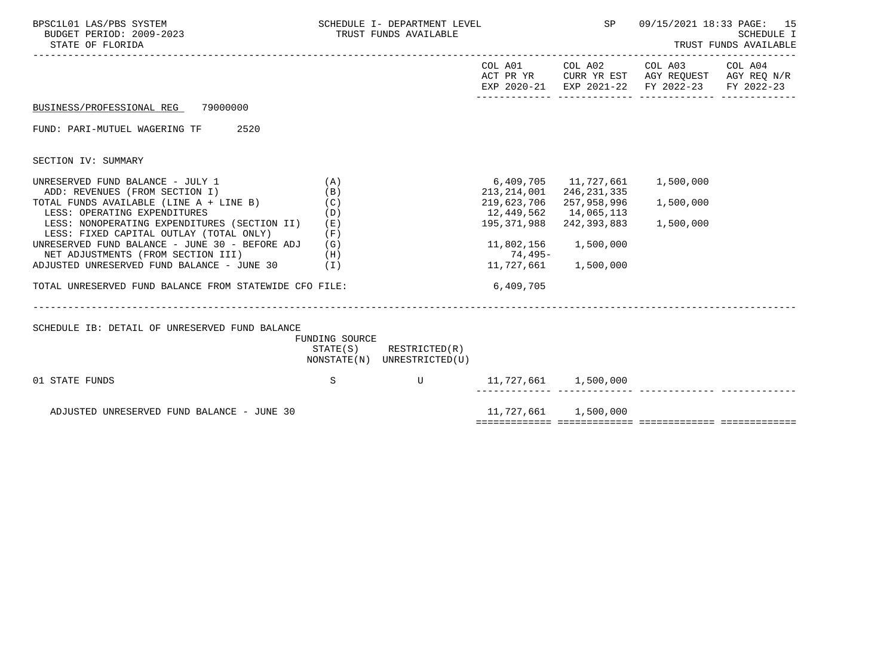| BPSC1L01 LAS/PBS SYSTEM<br>BUDGET PERIOD: 2009-2023<br>STATE OF FLORIDA                    | SCHEDULE I- DEPARTMENT LEVEL<br>TRUST FUNDS AVAILABLE |                                                            |                                      | SP                        | 09/15/2021 18:33 PAGE: 15<br>SCHEDULE I<br>TRUST FUNDS AVAILABLE                                       |            |  |
|--------------------------------------------------------------------------------------------|-------------------------------------------------------|------------------------------------------------------------|--------------------------------------|---------------------------|--------------------------------------------------------------------------------------------------------|------------|--|
|                                                                                            |                                                       |                                                            |                                      | COL A01 COL A02           | COL A03 COL A04<br>ACT PR YR CURR YR EST AGY REQUEST AGY REQ N/R<br>EXP 2020-21 EXP 2021-22 FY 2022-23 | FY 2022-23 |  |
| BUSINESS/PROFESSIONAL REG 79000000                                                         |                                                       |                                                            |                                      |                           |                                                                                                        |            |  |
| FUND: PARI-MUTUEL WAGERING TF<br>2520                                                      |                                                       |                                                            |                                      |                           |                                                                                                        |            |  |
| SECTION IV: SUMMARY                                                                        |                                                       |                                                            |                                      |                           |                                                                                                        |            |  |
| UNRESERVED FUND BALANCE - JULY 1<br>ADD: REVENUES (FROM SECTION I)                         | (A)<br>(B)                                            |                                                            | 6,409,705<br>213,214,001             | 246,231,335               |                                                                                                        |            |  |
| TOTAL FUNDS AVAILABLE (LINE A + LINE B)<br>LESS: OPERATING EXPENDITURES                    | (C)<br>(D)                                            |                                                            | 219,623,706<br>12,449,562            | 257,958,996<br>14,065,113 | 1,500,000                                                                                              |            |  |
| LESS: NONOPERATING EXPENDITURES (SECTION II)<br>LESS: FIXED CAPITAL OUTLAY (TOTAL ONLY)    | (E)<br>(F)                                            |                                                            | 195,371,988                          | 242,393,883               | 1,500,000                                                                                              |            |  |
| UNRESERVED FUND BALANCE - JUNE 30 - BEFORE ADJ $(G)$<br>NET ADJUSTMENTS (FROM SECTION III) | (H)                                                   |                                                            | 74,495-                              | 11,802,156 1,500,000      |                                                                                                        |            |  |
| ADJUSTED UNRESERVED FUND BALANCE - JUNE 30 (I)                                             |                                                       |                                                            | 11,727,661 1,500,000                 |                           |                                                                                                        |            |  |
| TOTAL UNRESERVED FUND BALANCE FROM STATEWIDE CFO FILE:                                     |                                                       |                                                            | 6,409,705                            |                           |                                                                                                        |            |  |
|                                                                                            |                                                       |                                                            |                                      |                           |                                                                                                        |            |  |
| SCHEDULE IB: DETAIL OF UNRESERVED FUND BALANCE                                             | FUNDING SOURCE                                        |                                                            |                                      |                           |                                                                                                        |            |  |
|                                                                                            |                                                       | $STATE(S)$ RESTRICTED $(R)$<br>NONSTATE(N) UNRESTRICTED(U) |                                      |                           |                                                                                                        |            |  |
| 01 STATE FUNDS                                                                             | S                                                     | <b>Example 19</b>                                          | 11,727,661 1,500,000<br>-------- --- |                           |                                                                                                        |            |  |
| ADJUSTED UNRESERVED FUND BALANCE - JUNE 30                                                 |                                                       |                                                            |                                      |                           |                                                                                                        |            |  |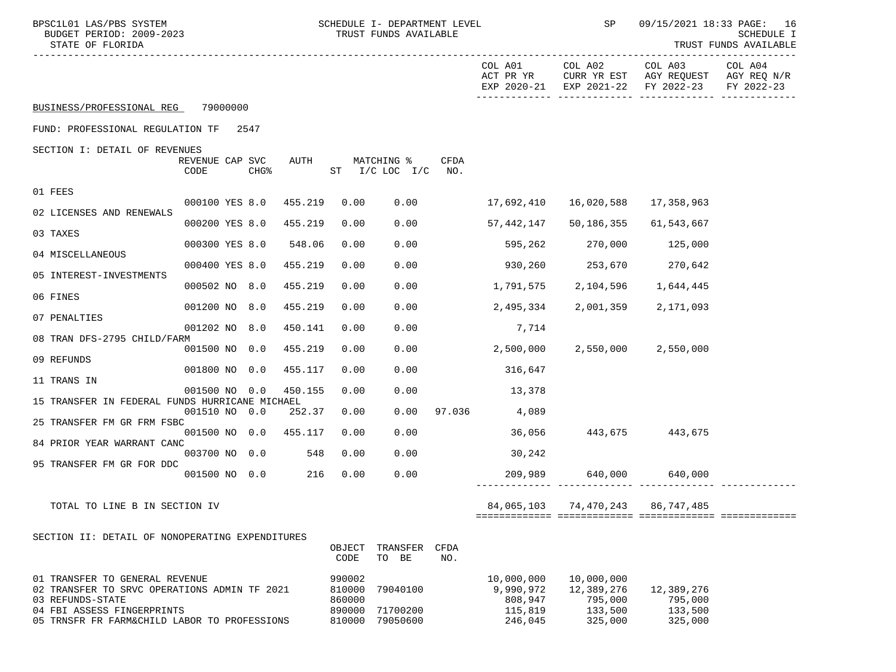| BPSC1L01 LAS/PBS SYSTEM<br>BUDGET PERIOD: 2009-2023<br>STATE OF FLORIDA                                                                                                          |                         |                                                | SCHEDULE I- DEPARTMENT LEVEL<br>TRUST FUNDS AVAILABLE |             | <b>SP</b>                                                | 09/15/2021 18:33 PAGE: 16<br>SCHEDULE I<br>TRUST FUNDS AVAILABLE<br>. _ _ _ _ _ _ _ _ _ _ _ |                                                                                              |            |
|----------------------------------------------------------------------------------------------------------------------------------------------------------------------------------|-------------------------|------------------------------------------------|-------------------------------------------------------|-------------|----------------------------------------------------------|---------------------------------------------------------------------------------------------|----------------------------------------------------------------------------------------------|------------|
|                                                                                                                                                                                  |                         |                                                |                                                       |             | COL A01<br>ACT PR YR                                     | COL A02                                                                                     | COL A03 COL A04<br>CURR YR EST AGY REQUEST AGY REQ N/R<br>EXP 2020-21 EXP 2021-22 FY 2022-23 | FY 2022-23 |
| BUSINESS/PROFESSIONAL REG 79000000                                                                                                                                               |                         |                                                |                                                       |             |                                                          |                                                                                             |                                                                                              |            |
| FUND: PROFESSIONAL REGULATION TF 2547                                                                                                                                            |                         |                                                |                                                       |             |                                                          |                                                                                             |                                                                                              |            |
| SECTION I: DETAIL OF REVENUES<br>REVENUE CAP SVC<br>CODE                                                                                                                         | AUTH<br><b>CHG&amp;</b> |                                                | MATCHING %<br>$ST$ $I/C$ LOC $I/C$                    | CFDA<br>NO. |                                                          |                                                                                             |                                                                                              |            |
| 01 FEES                                                                                                                                                                          |                         |                                                |                                                       |             |                                                          |                                                                                             |                                                                                              |            |
| 000100 YES 8.0<br>02 LICENSES AND RENEWALS                                                                                                                                       | 455.219                 | 0.00                                           | 0.00                                                  |             | 17,692,410                                               | 16,020,588                                                                                  | 17,358,963                                                                                   |            |
| 000200 YES 8.0<br>03 TAXES                                                                                                                                                       | 455.219                 | 0.00                                           | 0.00                                                  |             | 57,442,147                                               | 50,186,355                                                                                  | 61,543,667                                                                                   |            |
| 000300 YES 8.0<br>04 MISCELLANEOUS                                                                                                                                               | 548.06                  | 0.00                                           | 0.00                                                  |             |                                                          | 595,262 270,000 125,000                                                                     |                                                                                              |            |
| 000400 YES 8.0                                                                                                                                                                   | 455.219                 | 0.00                                           | 0.00                                                  |             |                                                          | 930,260 253,670 270,642                                                                     |                                                                                              |            |
| 05 INTEREST-INVESTMENTS<br>000502 NO 8.0                                                                                                                                         | 455.219                 | 0.00                                           | 0.00                                                  |             | 1,791,575                                                | 2,104,596                                                                                   | 1,644,445                                                                                    |            |
| 06 FINES<br>001200 NO 8.0                                                                                                                                                        | 455.219                 | 0.00                                           | 0.00                                                  |             | 2,495,334                                                | 2,001,359                                                                                   | 2,171,093                                                                                    |            |
| 07 PENALTIES<br>001202 NO 8.0                                                                                                                                                    | 450.141                 | 0.00                                           | 0.00                                                  |             | 7,714                                                    |                                                                                             |                                                                                              |            |
| 08 TRAN DFS-2795 CHILD/FARM                                                                                                                                                      |                         |                                                |                                                       |             |                                                          |                                                                                             | 2,550,000 2,550,000                                                                          |            |
| 001500 NO 0.0<br>09 REFUNDS                                                                                                                                                      | 455.219                 | 0.00                                           | 0.00                                                  |             | 2,500,000                                                |                                                                                             |                                                                                              |            |
| 001800 NO 0.0<br>11 TRANS IN                                                                                                                                                     | 455.117                 | 0.00                                           | 0.00                                                  |             | 316,647                                                  |                                                                                             |                                                                                              |            |
| 001500 NO 0.0<br>15 TRANSFER IN FEDERAL FUNDS HURRICANE MICHAEL                                                                                                                  | 450.155                 | 0.00                                           | 0.00                                                  |             | 13,378                                                   |                                                                                             |                                                                                              |            |
| 001510 NO 0.0<br>25 TRANSFER FM GR FRM FSBC                                                                                                                                      | 252.37                  | 0.00                                           | 0.00                                                  |             | 97.036 4,089                                             |                                                                                             |                                                                                              |            |
| 001500 NO 0.0                                                                                                                                                                    | 455.117                 | 0.00                                           | 0.00                                                  |             | 36,056                                                   | 443,675 443,675                                                                             |                                                                                              |            |
| 84 PRIOR YEAR WARRANT CANC<br>003700 NO 0.0                                                                                                                                      | 548                     | 0.00                                           | 0.00                                                  |             | 30,242                                                   |                                                                                             |                                                                                              |            |
| 95 TRANSFER FM GR FOR DDC<br>001500 NO 0.0                                                                                                                                       | 216                     | 0.00                                           | 0.00                                                  |             |                                                          |                                                                                             | 209,989 640,000 640,000                                                                      |            |
| TOTAL TO LINE B IN SECTION IV                                                                                                                                                    |                         |                                                |                                                       |             |                                                          |                                                                                             | 84,065,103 74,470,243 86,747,485                                                             |            |
|                                                                                                                                                                                  |                         |                                                |                                                       |             |                                                          |                                                                                             |                                                                                              |            |
| SECTION II: DETAIL OF NONOPERATING EXPENDITURES                                                                                                                                  |                         | OBJECT<br>CODE                                 | TRANSFER<br>TO BE                                     | CFDA<br>NO. |                                                          |                                                                                             |                                                                                              |            |
| 01 TRANSFER TO GENERAL REVENUE<br>02 TRANSFER TO SRVC OPERATIONS ADMIN TF 2021<br>03 REFUNDS-STATE<br>04 FBI ASSESS FINGERPRINTS<br>05 TRNSFR FR FARM&CHILD LABOR TO PROFESSIONS |                         | 990002<br>810000<br>860000<br>890000<br>810000 | 79040100<br>71700200<br>79050600                      |             | 10,000,000<br>9,990,972<br>808,947<br>115,819<br>246,045 | 10,000,000<br>12,389,276<br>795,000<br>133,500<br>325,000                                   | 12,389,276<br>795,000<br>133,500<br>325,000                                                  |            |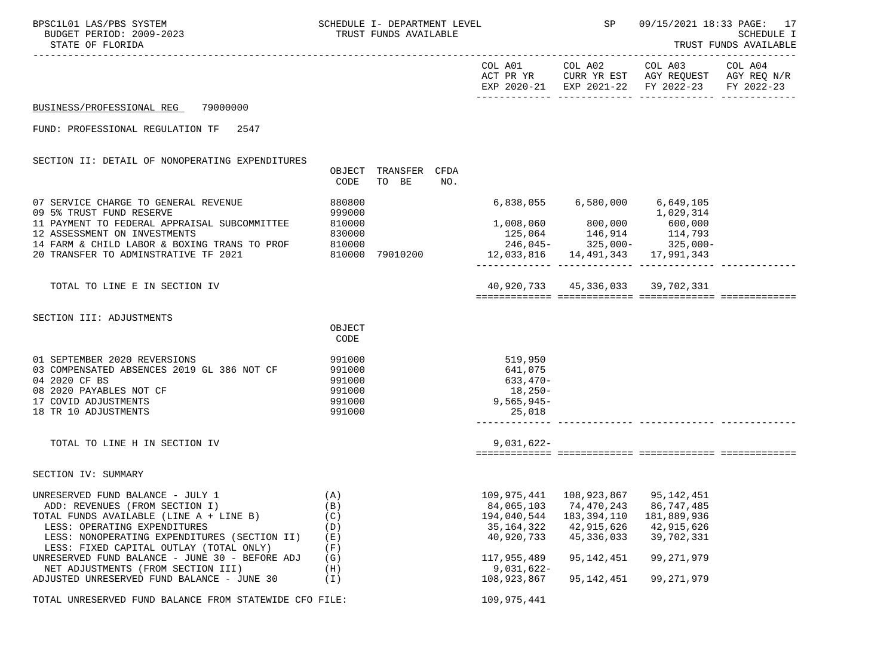| BPSC1L01 LAS/PBS SYSTEM<br>BUDGET PERIOD: 2009-2023<br>STATE OF FLORIDA                 |                  | SCHEDULE I- DEPARTMENT LEVEL<br>TRUST FUNDS AVAILABLE |     |                                    | SP                                   |                                                                                                           | 09/15/2021 18:33 PAGE: 17<br><b>SCHEDULE I</b><br>TRUST FUNDS AVAILABLE |  |
|-----------------------------------------------------------------------------------------|------------------|-------------------------------------------------------|-----|------------------------------------|--------------------------------------|-----------------------------------------------------------------------------------------------------------|-------------------------------------------------------------------------|--|
|                                                                                         |                  |                                                       |     |                                    | COL A01 COL A02                      | COL A03<br>ACT PR YR CURR YR EST AGY REQUEST AGY REQ N/R<br>EXP 2020-21 EXP 2021-22 FY 2022-23 FY 2022-23 | COL A04                                                                 |  |
| 79000000<br>BUSINESS/PROFESSIONAL REG                                                   |                  |                                                       |     |                                    |                                      |                                                                                                           |                                                                         |  |
| FUND: PROFESSIONAL REGULATION TF<br>2547                                                |                  |                                                       |     |                                    |                                      |                                                                                                           |                                                                         |  |
| SECTION II: DETAIL OF NONOPERATING EXPENDITURES                                         |                  |                                                       |     |                                    |                                      |                                                                                                           |                                                                         |  |
|                                                                                         | CODE             | OBJECT TRANSFER CFDA<br>TO BE                         | NO. |                                    |                                      |                                                                                                           |                                                                         |  |
| 07 SERVICE CHARGE TO GENERAL REVENUE                                                    | 880800           |                                                       |     |                                    |                                      |                                                                                                           |                                                                         |  |
| 09 5% TRUST FUND RESERVE                                                                | 999000           |                                                       |     |                                    |                                      | 1,029,314                                                                                                 |                                                                         |  |
| 11 PAYMENT TO FEDERAL APPRAISAL SUBCOMMITTEE<br>12 ASSESSMENT ON INVESTMENTS            | 810000<br>830000 |                                                       |     |                                    |                                      |                                                                                                           |                                                                         |  |
| 14 FARM & CHILD LABOR & BOXING TRANS TO PROF                                            | 810000           |                                                       |     |                                    |                                      | $1,008,060$<br>$125,064$<br>$246,045$<br>$245,064$<br>$325,000$<br>$325,000$<br>$325,000$                 |                                                                         |  |
| 20 TRANSFER TO ADMINSTRATIVE TF 2021                                                    |                  | 810000 79010200                                       |     | 12,033,816  14,491,343  17,991,343 |                                      |                                                                                                           |                                                                         |  |
| TOTAL TO LINE E IN SECTION IV                                                           |                  |                                                       |     |                                    | 40,920,733 45,336,033 39,702,331     |                                                                                                           |                                                                         |  |
|                                                                                         |                  |                                                       |     |                                    |                                      |                                                                                                           |                                                                         |  |
| SECTION III: ADJUSTMENTS                                                                |                  |                                                       |     |                                    |                                      |                                                                                                           |                                                                         |  |
|                                                                                         | OBJECT<br>CODE   |                                                       |     |                                    |                                      |                                                                                                           |                                                                         |  |
| 01 SEPTEMBER 2020 REVERSIONS                                                            | 991000           |                                                       |     | 519,950                            |                                      |                                                                                                           |                                                                         |  |
| 03 COMPENSATED ABSENCES 2019 GL 386 NOT CF                                              | 991000           |                                                       |     | 641,075                            |                                      |                                                                                                           |                                                                         |  |
| 04 2020 CF BS                                                                           | 991000           |                                                       |     | 633,470-                           |                                      |                                                                                                           |                                                                         |  |
| 08 2020 PAYABLES NOT CF                                                                 | 991000           |                                                       |     | 18,250-                            |                                      |                                                                                                           |                                                                         |  |
| 17 COVID ADJUSTMENTS                                                                    | 991000           |                                                       |     | $9,565,945-$                       |                                      |                                                                                                           |                                                                         |  |
| 18 TR 10 ADJUSTMENTS                                                                    | 991000           |                                                       |     | 25,018                             |                                      |                                                                                                           |                                                                         |  |
| TOTAL TO LINE H IN SECTION IV                                                           |                  |                                                       |     | $9,031,622-$                       |                                      |                                                                                                           |                                                                         |  |
|                                                                                         |                  |                                                       |     |                                    |                                      |                                                                                                           |                                                                         |  |
| SECTION IV: SUMMARY                                                                     |                  |                                                       |     |                                    |                                      |                                                                                                           |                                                                         |  |
| UNRESERVED FUND BALANCE - JULY 1                                                        | (A)              |                                                       |     |                                    | 109,975,441  108,923,867  95,142,451 |                                                                                                           |                                                                         |  |
| ADD: REVENUES (FROM SECTION I)                                                          | (B)              |                                                       |     | 84,065,103                         | 74,470,243                           | 86,747,485                                                                                                |                                                                         |  |
| TOTAL FUNDS AVAILABLE (LINE A + LINE B)                                                 | (C)              |                                                       |     | 194,040,544                        | 183,394,110                          | 181,889,936                                                                                               |                                                                         |  |
| LESS: OPERATING EXPENDITURES                                                            | (D)              |                                                       |     | 35, 164, 322                       | 42,915,626                           | 42,915,626                                                                                                |                                                                         |  |
| LESS: NONOPERATING EXPENDITURES (SECTION II)<br>LESS: FIXED CAPITAL OUTLAY (TOTAL ONLY) | (E)<br>(F)       |                                                       |     | 40,920,733                         | 45, 336, 033                         | 39,702,331                                                                                                |                                                                         |  |
| UNRESERVED FUND BALANCE - JUNE 30 - BEFORE ADJ                                          | (G)              |                                                       |     | 117,955,489                        | 95, 142, 451                         | 99, 271, 979                                                                                              |                                                                         |  |
| NET ADJUSTMENTS (FROM SECTION III)                                                      | (H)              |                                                       |     | $9,031,622-$                       |                                      |                                                                                                           |                                                                         |  |
| ADJUSTED UNRESERVED FUND BALANCE - JUNE 30                                              | (I)              |                                                       |     | 108,923,867                        | 95, 142, 451                         | 99, 271, 979                                                                                              |                                                                         |  |
| TOTAL UNRESERVED FUND BALANCE FROM STATEWIDE CFO FILE:                                  |                  |                                                       |     | 109,975,441                        |                                      |                                                                                                           |                                                                         |  |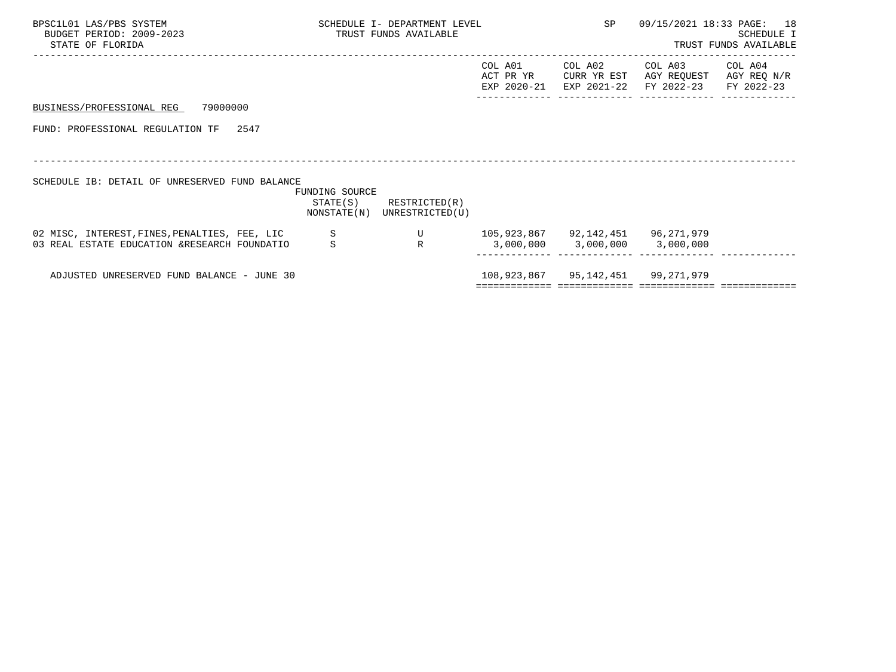| BPSC1L01 LAS/PBS SYSTEM<br>BUDGET PERIOD: 2009-2023<br>STATE OF FLORIDA                       | SCHEDULE I- DEPARTMENT LEVEL<br>TRUST FUNDS AVAILABLE |                             |         | SP                                                                 | 09/15/2021 18:33 PAGE: 18                                                                                 | SCHEDULE I<br>TRUST FUNDS AVAILABLE |
|-----------------------------------------------------------------------------------------------|-------------------------------------------------------|-----------------------------|---------|--------------------------------------------------------------------|-----------------------------------------------------------------------------------------------------------|-------------------------------------|
|                                                                                               |                                                       |                             | COL A01 | COL A02                                                            | COL A03<br>ACT PR YR CURR YR EST AGY REQUEST AGY REQ N/R<br>EXP 2020-21 EXP 2021-22 FY 2022-23 FY 2022-23 | COL A04                             |
| BUSINESS/PROFESSIONAL REG 79000000                                                            |                                                       |                             |         |                                                                    |                                                                                                           |                                     |
| FUND: PROFESSIONAL REGULATION TF 2547                                                         |                                                       |                             |         |                                                                    |                                                                                                           |                                     |
|                                                                                               |                                                       |                             |         |                                                                    |                                                                                                           |                                     |
| SCHEDULE IB: DETAIL OF UNRESERVED FUND BALANCE                                                | FUNDING SOURCE                                        | $STATE(S)$ RESTRICTED $(R)$ |         |                                                                    |                                                                                                           |                                     |
|                                                                                               |                                                       | NONSTATE(N) UNRESTRICTED(U) |         |                                                                    |                                                                                                           |                                     |
| 02 MISC, INTEREST, FINES, PENALTIES, FEE, LIC<br>03 REAL ESTATE EDUCATION &RESEARCH FOUNDATIO | S                                                     | U<br>$\mathbb{R}$           |         | 105,923,867 92,142,451 96,271,979<br>3,000,000 3,000,000 3,000,000 |                                                                                                           |                                     |
|                                                                                               |                                                       |                             |         |                                                                    |                                                                                                           |                                     |
| ADJUSTED UNRESERVED FUND BALANCE - JUNE 30                                                    |                                                       |                             |         | 108,923,867 95,142,451 99,271,979                                  |                                                                                                           |                                     |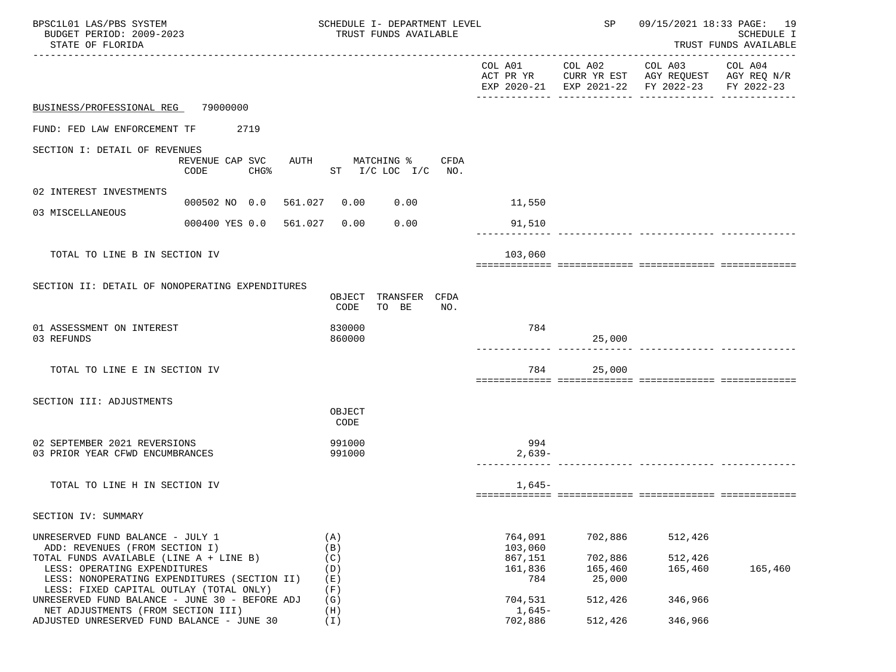| BPSC1L01 LAS/PBS SYSTEM<br>BUDGET PERIOD: 2009-2023<br>STATE OF FLORIDA                                                 |                                   | SCHEDULE I- DEPARTMENT LEVEL<br>TRUST FUNDS AVAILABLE | SP                            | 09/15/2021 18:33 PAGE: 19<br>SCHEDULE I<br>TRUST FUNDS AVAILABLE |                                                                                                                                   |         |
|-------------------------------------------------------------------------------------------------------------------------|-----------------------------------|-------------------------------------------------------|-------------------------------|------------------------------------------------------------------|-----------------------------------------------------------------------------------------------------------------------------------|---------|
|                                                                                                                         |                                   |                                                       |                               |                                                                  | COL A01 COL A02 COL A03 COL A04<br>ACT PR YR CURR YR EST AGY REQUEST AGY REQ N/R<br>EXP 2020-21 EXP 2021-22 FY 2022-23 FY 2022-23 |         |
| BUSINESS/PROFESSIONAL REG 79000000                                                                                      |                                   |                                                       |                               |                                                                  |                                                                                                                                   |         |
| FUND: FED LAW ENFORCEMENT TF 2719                                                                                       |                                   |                                                       |                               |                                                                  |                                                                                                                                   |         |
| SECTION I: DETAIL OF REVENUES                                                                                           | REVENUE CAP SVC<br>CODE<br>$CHG\$ | AUTH MATCHING % CFDA<br>ST $I/C$ LOC $I/C$ NO.        |                               |                                                                  |                                                                                                                                   |         |
| 02 INTEREST INVESTMENTS                                                                                                 |                                   |                                                       |                               |                                                                  |                                                                                                                                   |         |
| 03 MISCELLANEOUS                                                                                                        | 000502 NO 0.0 561.027 0.00        | 0.00                                                  | 11,550                        |                                                                  |                                                                                                                                   |         |
|                                                                                                                         | 000400 YES 0.0 561.027 0.00       | 0.00                                                  | 91,510                        |                                                                  |                                                                                                                                   |         |
| TOTAL TO LINE B IN SECTION IV                                                                                           |                                   |                                                       | 103,060                       |                                                                  |                                                                                                                                   |         |
| SECTION II: DETAIL OF NONOPERATING EXPENDITURES                                                                         |                                   | OBJECT TRANSFER CFDA<br>TO BE<br>CODE<br>NO.          |                               |                                                                  |                                                                                                                                   |         |
| 01 ASSESSMENT ON INTEREST<br>03 REFUNDS                                                                                 |                                   | 830000<br>860000                                      | 784                           | 25,000                                                           |                                                                                                                                   |         |
| TOTAL TO LINE E IN SECTION IV                                                                                           |                                   |                                                       | 784                           | 25,000                                                           |                                                                                                                                   |         |
| SECTION III: ADJUSTMENTS                                                                                                |                                   | OBJECT<br>CODE                                        |                               |                                                                  |                                                                                                                                   |         |
| 02 SEPTEMBER 2021 REVERSIONS<br>03 PRIOR YEAR CFWD ENCUMBRANCES                                                         |                                   | 991000<br>991000                                      | 994<br>$2,639-$               |                                                                  |                                                                                                                                   |         |
| TOTAL TO LINE H IN SECTION IV                                                                                           |                                   |                                                       | $1,645-$                      |                                                                  |                                                                                                                                   |         |
| SECTION IV: SUMMARY                                                                                                     |                                   |                                                       |                               |                                                                  |                                                                                                                                   |         |
| UNRESERVED FUND BALANCE - JULY 1<br>ADD: REVENUES (FROM SECTION I)<br>TOTAL FUNDS AVAILABLE (LINE A + LINE B)           |                                   | (A)<br>(B)<br>(C)                                     | 764,091<br>103,060<br>867,151 | 702,886<br>702,886                                               | 512,426<br>512,426                                                                                                                |         |
| LESS: OPERATING EXPENDITURES<br>LESS: NONOPERATING EXPENDITURES (SECTION II)<br>LESS: FIXED CAPITAL OUTLAY (TOTAL ONLY) |                                   | (D)<br>(E)<br>(F)                                     | 161,836<br>784                | 165,460<br>25,000                                                | 165,460                                                                                                                           | 165,460 |
| UNRESERVED FUND BALANCE - JUNE 30 - BEFORE ADJ<br>NET ADJUSTMENTS (FROM SECTION III)                                    |                                   | (G)<br>(H)                                            | 704,531<br>$1,645-$           | 512,426                                                          | 346,966                                                                                                                           |         |
| ADJUSTED UNRESERVED FUND BALANCE - JUNE 30                                                                              |                                   | (I)                                                   | 702,886                       | 512,426                                                          | 346,966                                                                                                                           |         |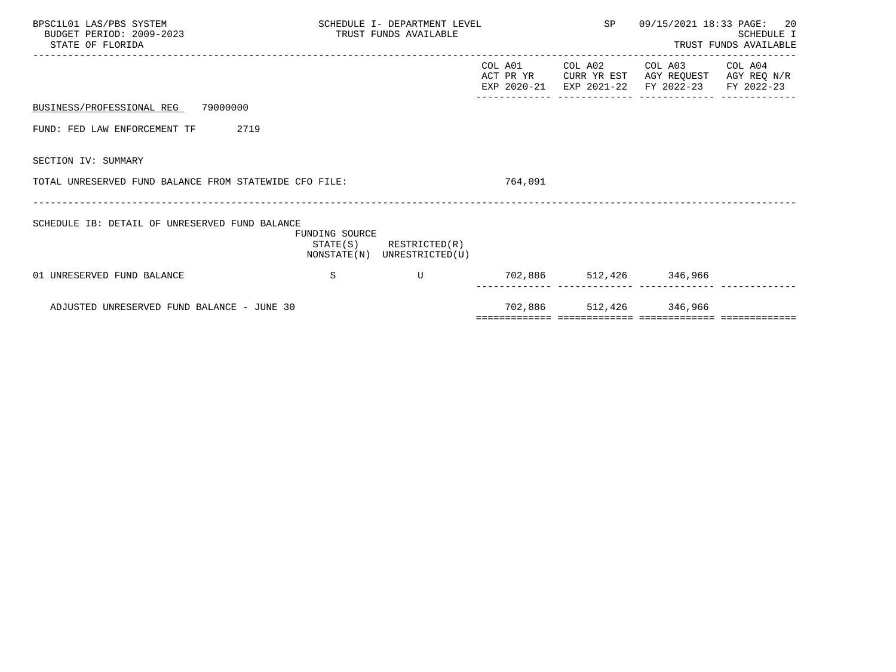| BPSC1L01 LAS/PBS SYSTEM<br>BUDGET PERIOD: 2009-2023<br>STATE OF FLORIDA | SCHEDULE I- DEPARTMENT LEVEL<br>TRUST FUNDS AVAILABLE |                                                            |         | SP 09/15/2021 18:33 PAGE: 20 | SCHEDULE I<br>TRUST FUNDS AVAILABLE                                                                                       |  |
|-------------------------------------------------------------------------|-------------------------------------------------------|------------------------------------------------------------|---------|------------------------------|---------------------------------------------------------------------------------------------------------------------------|--|
|                                                                         |                                                       |                                                            | COL A01 |                              | COL A02 COL A03 COL A04<br>ACT PR YR CURR YR EST AGY REQUEST AGY REQ N/R<br>EXP 2020-21 EXP 2021-22 FY 2022-23 FY 2022-23 |  |
| BUSINESS/PROFESSIONAL REG 79000000                                      |                                                       |                                                            |         |                              |                                                                                                                           |  |
| 2719<br>FUND: FED LAW ENFORCEMENT TF                                    |                                                       |                                                            |         |                              |                                                                                                                           |  |
| SECTION IV: SUMMARY                                                     |                                                       |                                                            |         |                              |                                                                                                                           |  |
| TOTAL UNRESERVED FUND BALANCE FROM STATEWIDE CFO FILE:                  |                                                       |                                                            | 764,091 |                              |                                                                                                                           |  |
| SCHEDULE IB: DETAIL OF UNRESERVED FUND BALANCE                          | FUNDING SOURCE                                        | $STATE(S)$ RESTRICTED $(R)$<br>NONSTATE(N) UNRESTRICTED(U) |         |                              |                                                                                                                           |  |
| 01 UNRESERVED FUND BALANCE                                              | S                                                     | $\mathbf{U}$                                               |         |                              | 702,886 512,426 346,966<br>----------- ------------ -----------                                                           |  |
| ADJUSTED UNRESERVED FUND BALANCE - JUNE 30                              |                                                       |                                                            |         | 702,886 512,426 346,966      |                                                                                                                           |  |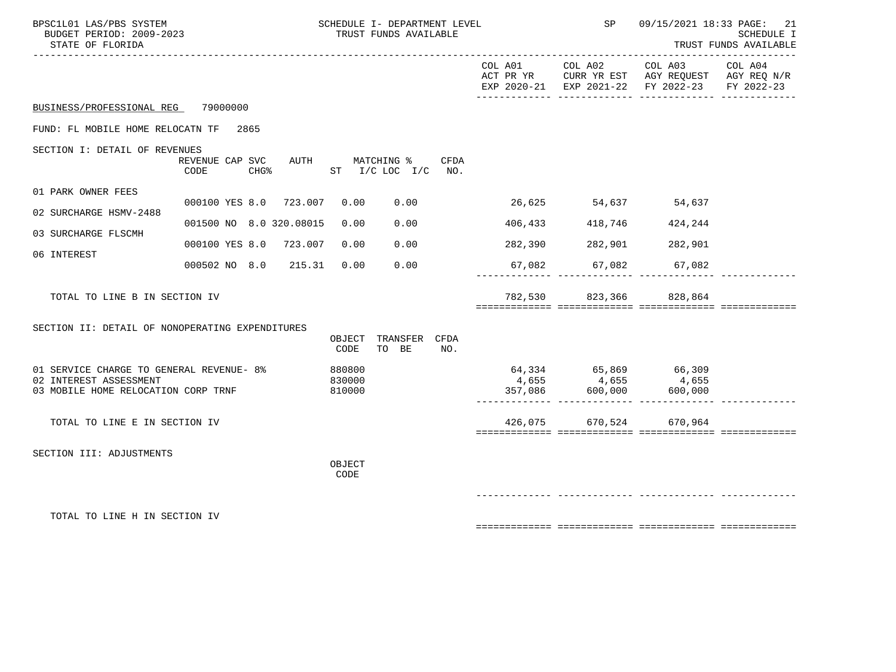| BPSC1L01 LAS/PBS SYSTEM<br>BUDGET PERIOD: 2009-2023<br>STATE OF FLORIDA                                   |                                              |                  |                            | SCHEDULE I- DEPARTMENT LEVEL<br>TRUST FUNDS AVAILABLE |     |                      |                                                             | SP 09/15/2021 18:33 PAGE: 21<br>SCHEDULE I<br>TRUST FUNDS AVAILABLE                            |                       |
|-----------------------------------------------------------------------------------------------------------|----------------------------------------------|------------------|----------------------------|-------------------------------------------------------|-----|----------------------|-------------------------------------------------------------|------------------------------------------------------------------------------------------------|-----------------------|
|                                                                                                           |                                              |                  |                            |                                                       |     | COL A01              | COL A02                                                     | COL A03<br>ACT PR YR CURR YR EST AGY REQUEST AGY REQ N/R<br>EXP 2020-21 EXP 2021-22 FY 2022-23 | COL A04<br>FY 2022-23 |
| BUSINESS/PROFESSIONAL REG 79000000                                                                        |                                              |                  |                            |                                                       |     |                      |                                                             |                                                                                                |                       |
| FUND: FL MOBILE HOME RELOCATN TF 2865                                                                     |                                              |                  |                            |                                                       |     |                      |                                                             |                                                                                                |                       |
| SECTION I: DETAIL OF REVENUES                                                                             | REVENUE CAP SVC AUTH MATCHING % CFDA<br>CODE | CHG <sup>8</sup> |                            | ST I/C LOC I/C NO.                                    |     |                      |                                                             |                                                                                                |                       |
| 01 PARK OWNER FEES                                                                                        | 000100 YES 8.0 723.007 0.00 0.00             |                  |                            |                                                       |     | 26,625 54,637 54,637 |                                                             |                                                                                                |                       |
| 02 SURCHARGE HSMV-2488                                                                                    | 001500 NO 8.0 320.08015                      |                  | 0.00                       | 0.00                                                  |     |                      | 406,433 418,746                                             | 424,244                                                                                        |                       |
| 03 SURCHARGE FLSCMH                                                                                       | 000100 YES 8.0 723.007                       |                  | 0.00                       | 0.00                                                  |     |                      | 282,390 282,901                                             | 282,901                                                                                        |                       |
| 06 INTEREST                                                                                               | 000502 NO 8.0 215.31 0.00                    |                  |                            | 0.00                                                  |     | 67,082               |                                                             |                                                                                                |                       |
|                                                                                                           |                                              |                  |                            |                                                       |     |                      | 67,082                                                      | 67,082                                                                                         |                       |
| TOTAL TO LINE B IN SECTION IV                                                                             |                                              |                  |                            |                                                       |     |                      | 782,530 823,366 828,864                                     |                                                                                                |                       |
| SECTION II: DETAIL OF NONOPERATING EXPENDITURES                                                           |                                              |                  | CODE                       | OBJECT TRANSFER CFDA<br>TO BE                         | NO. |                      |                                                             |                                                                                                |                       |
| 01 SERVICE CHARGE TO GENERAL REVENUE- 8%<br>02 INTEREST ASSESSMENT<br>03 MOBILE HOME RELOCATION CORP TRNF |                                              |                  | 880800<br>830000<br>810000 |                                                       |     | 4,655                | 64,334 65,869 66,309<br>4,655<br>$4,055$<br>357,086 600,000 | 4,655<br>600,000                                                                               |                       |
| TOTAL TO LINE E IN SECTION IV                                                                             |                                              |                  |                            |                                                       |     |                      | 426,075 670,524 670,964                                     |                                                                                                |                       |
| SECTION III: ADJUSTMENTS                                                                                  |                                              |                  | OBJECT<br>CODE             |                                                       |     |                      |                                                             |                                                                                                |                       |
|                                                                                                           |                                              |                  |                            |                                                       |     |                      |                                                             |                                                                                                |                       |
| TOTAL TO LINE H IN SECTION IV                                                                             |                                              |                  |                            |                                                       |     |                      |                                                             |                                                                                                |                       |